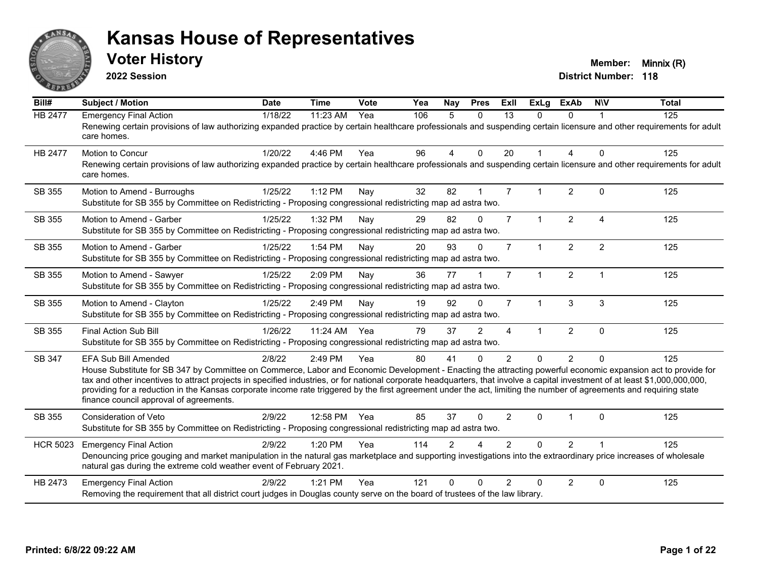

**2022 Session**

| Bill#           | <b>Subject / Motion</b>                                                                                                                                                                                                                                                                                                                                                                                                                                                                                                                                                                            | <b>Date</b> | <b>Time</b> | Vote | Yea | Nay            | <b>Pres</b>    | ExIl           | <b>ExLg</b>  | <b>ExAb</b>    | <b>NIV</b>             | <b>Total</b> |
|-----------------|----------------------------------------------------------------------------------------------------------------------------------------------------------------------------------------------------------------------------------------------------------------------------------------------------------------------------------------------------------------------------------------------------------------------------------------------------------------------------------------------------------------------------------------------------------------------------------------------------|-------------|-------------|------|-----|----------------|----------------|----------------|--------------|----------------|------------------------|--------------|
| HB 2477         | <b>Emergency Final Action</b><br>Renewing certain provisions of law authorizing expanded practice by certain healthcare professionals and suspending certain licensure and other requirements for adult<br>care homes.                                                                                                                                                                                                                                                                                                                                                                             | 1/18/22     | 11:23 AM    | Yea  | 106 | 5              | $\mathbf{0}$   | 13             | $\Omega$     | $\Omega$       |                        | 125          |
| HB 2477         | <b>Motion to Concur</b><br>Renewing certain provisions of law authorizing expanded practice by certain healthcare professionals and suspending certain licensure and other requirements for adult<br>care homes.                                                                                                                                                                                                                                                                                                                                                                                   | 1/20/22     | 4:46 PM     | Yea  | 96  | $\overline{4}$ | $\mathbf{0}$   | 20             |              | $\overline{A}$ | $\Omega$               | 125          |
| SB 355          | Motion to Amend - Burroughs<br>Substitute for SB 355 by Committee on Redistricting - Proposing congressional redistricting map ad astra two.                                                                                                                                                                                                                                                                                                                                                                                                                                                       | 1/25/22     | 1:12 PM     | Nay  | 32  | 82             | $\mathbf 1$    | $\overline{7}$ |              | 2              | $\Omega$               | 125          |
| SB 355          | Motion to Amend - Garber<br>Substitute for SB 355 by Committee on Redistricting - Proposing congressional redistricting map ad astra two.                                                                                                                                                                                                                                                                                                                                                                                                                                                          | 1/25/22     | 1:32 PM     | Nay  | 29  | 82             | $\mathbf{0}$   | $\overline{7}$ | $\mathbf 1$  | 2              | $\boldsymbol{\Lambda}$ | 125          |
| SB 355          | Motion to Amend - Garber<br>Substitute for SB 355 by Committee on Redistricting - Proposing congressional redistricting map ad astra two.                                                                                                                                                                                                                                                                                                                                                                                                                                                          | 1/25/22     | 1:54 PM     | Nay  | 20  | 93             | $\Omega$       | $\overline{7}$ | $\mathbf{1}$ | $\overline{2}$ | 2                      | 125          |
| SB 355          | Motion to Amend - Sawyer<br>Substitute for SB 355 by Committee on Redistricting - Proposing congressional redistricting map ad astra two.                                                                                                                                                                                                                                                                                                                                                                                                                                                          | 1/25/22     | 2:09 PM     | Nay  | 36  | 77             |                | $\overline{7}$ | $\mathbf 1$  | 2              |                        | 125          |
| SB 355          | Motion to Amend - Clayton<br>Substitute for SB 355 by Committee on Redistricting - Proposing congressional redistricting map ad astra two.                                                                                                                                                                                                                                                                                                                                                                                                                                                         | 1/25/22     | 2:49 PM     | Nay  | 19  | 92             | $\Omega$       | $\overline{7}$ | $\mathbf{1}$ | $\mathbf{3}$   | $\mathbf{3}$           | 125          |
| SB 355          | <b>Final Action Sub Bill</b><br>Substitute for SB 355 by Committee on Redistricting - Proposing congressional redistricting map ad astra two.                                                                                                                                                                                                                                                                                                                                                                                                                                                      | 1/26/22     | 11:24 AM    | Yea  | 79  | 37             | $\overline{2}$ | $\overline{4}$ | $\mathbf 1$  | $\overline{2}$ | $\mathbf{0}$           | 125          |
| SB 347          | <b>EFA Sub Bill Amended</b><br>House Substitute for SB 347 by Committee on Commerce, Labor and Economic Development - Enacting the attracting powerful economic expansion act to provide for<br>tax and other incentives to attract projects in specified industries, or for national corporate headquarters, that involve a capital investment of at least \$1,000,000,000,000,<br>providing for a reduction in the Kansas corporate income rate triggered by the first agreement under the act, limiting the number of agreements and requiring state<br>finance council approval of agreements. | 2/8/22      | 2:49 PM     | Yea  | 80  | 41             | $\mathbf{0}$   | 2              | $\Omega$     | $\overline{2}$ | $\Omega$               | 125          |
| SB 355          | <b>Consideration of Veto</b><br>Substitute for SB 355 by Committee on Redistricting - Proposing congressional redistricting map ad astra two.                                                                                                                                                                                                                                                                                                                                                                                                                                                      | 2/9/22      | 12:58 PM    | Yea  | 85  | 37             | $\Omega$       | 2              | $\Omega$     |                | $\Omega$               | 125          |
| <b>HCR 5023</b> | <b>Emergency Final Action</b><br>Denouncing price gouging and market manipulation in the natural gas marketplace and supporting investigations into the extraordinary price increases of wholesale<br>natural gas during the extreme cold weather event of February 2021.                                                                                                                                                                                                                                                                                                                          | 2/9/22      | 1:20 PM     | Yea  | 114 | $\overline{2}$ |                | $\overline{2}$ | $\Omega$     | $\overline{2}$ |                        | 125          |
| HB 2473         | <b>Emergency Final Action</b><br>Removing the requirement that all district court judges in Douglas county serve on the board of trustees of the law library.                                                                                                                                                                                                                                                                                                                                                                                                                                      | 2/9/22      | 1:21 PM     | Yea  | 121 | $\Omega$       | $\Omega$       | $\mathfrak{p}$ | $\Omega$     | $\overline{2}$ | $\Omega$               | 125          |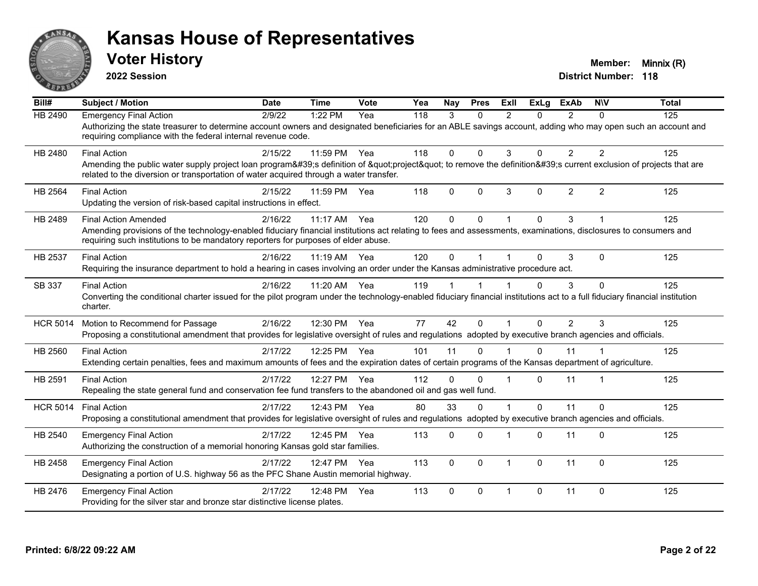

**2022 Session**

| $\overline{Bill#}$ | <b>Subject / Motion</b>                                                                                                                                                                                                                                                              | <b>Date</b> | <b>Time</b> | Vote | Yea | <b>Nav</b> | <b>Pres</b> | Exll           | <b>ExLg</b> | <b>ExAb</b>    | <b>NIV</b>              | <b>Total</b> |
|--------------------|--------------------------------------------------------------------------------------------------------------------------------------------------------------------------------------------------------------------------------------------------------------------------------------|-------------|-------------|------|-----|------------|-------------|----------------|-------------|----------------|-------------------------|--------------|
| HB 2490            | <b>Emergency Final Action</b><br>Authorizing the state treasurer to determine account owners and designated beneficiaries for an ABLE savings account, adding who may open such an account and<br>requiring compliance with the federal internal revenue code.                       | 2/9/22      | 1:22 PM     | Yea  | 118 | 3          | $\Omega$    | $\mathfrak{p}$ | $\Omega$    | $\mathcal{P}$  | $\Omega$                | 125          |
| HB 2480            | <b>Final Action</b><br>Amending the public water supply project loan program's definition of "project" to remove the definition's current exclusion of projects that are<br>related to the diversion or transportation of water acquired through a water transfer.                   | 2/15/22     | 11:59 PM    | Yea  | 118 | 0          | $\Omega$    | 3              | 0           | $\overline{2}$ | $\overline{2}$          | 125          |
| HB 2564            | <b>Final Action</b><br>Updating the version of risk-based capital instructions in effect.                                                                                                                                                                                            | 2/15/22     | 11:59 PM    | Yea  | 118 | $\Omega$   | $\Omega$    | 3              | 0           | $\overline{2}$ | $\overline{2}$          | 125          |
| HB 2489            | <b>Final Action Amended</b><br>Amending provisions of the technology-enabled fiduciary financial institutions act relating to fees and assessments, examinations, disclosures to consumers and<br>requiring such institutions to be mandatory reporters for purposes of elder abuse. | 2/16/22     | 11:17 AM    | Yea  | 120 | 0          | $\Omega$    | $\overline{1}$ | 0           | 3              |                         | 125          |
| HB 2537            | <b>Final Action</b><br>Requiring the insurance department to hold a hearing in cases involving an order under the Kansas administrative procedure act.                                                                                                                               | 2/16/22     | $11:19$ AM  | Yea  | 120 | 0          |             |                | 0           | 3              | $\Omega$                | 125          |
| SB 337             | <b>Final Action</b><br>Converting the conditional charter issued for the pilot program under the technology-enabled fiduciary financial institutions act to a full fiduciary financial institution<br>charter.                                                                       | 2/16/22     | 11:20 AM    | Yea  | 119 |            |             |                | 0           | 3              | $\Omega$                | 125          |
| <b>HCR 5014</b>    | Motion to Recommend for Passage<br>Proposing a constitutional amendment that provides for legislative oversight of rules and regulations adopted by executive branch agencies and officials.                                                                                         | 2/16/22     | 12:30 PM    | Yea  | 77  | 42         | $\Omega$    |                | 0           | $\overline{2}$ | 3                       | 125          |
| HB 2560            | <b>Final Action</b><br>Extending certain penalties, fees and maximum amounts of fees and the expiration dates of certain programs of the Kansas department of agriculture.                                                                                                           | 2/17/22     | 12:25 PM    | Yea  | 101 | 11         | $\Omega$    |                | $\Omega$    | 11             |                         | 125          |
| HB 2591            | <b>Final Action</b><br>Repealing the state general fund and conservation fee fund transfers to the abandoned oil and gas well fund.                                                                                                                                                  | 2/17/22     | 12:27 PM    | Yea  | 112 | 0          | $\Omega$    | $\overline{1}$ | 0           | 11             | $\overline{\mathbf{1}}$ | 125          |
| <b>HCR 5014</b>    | <b>Final Action</b><br>Proposing a constitutional amendment that provides for legislative oversight of rules and regulations adopted by executive branch agencies and officials.                                                                                                     | 2/17/22     | 12:43 PM    | Yea  | 80  | 33         | $\Omega$    |                | 0           | 11             | $\Omega$                | 125          |
| HB 2540            | <b>Emergency Final Action</b><br>Authorizing the construction of a memorial honoring Kansas gold star families.                                                                                                                                                                      | 2/17/22     | 12:45 PM    | Yea  | 113 | 0          | $\Omega$    |                | 0           | 11             | $\Omega$                | 125          |
| HB 2458            | <b>Emergency Final Action</b><br>Designating a portion of U.S. highway 56 as the PFC Shane Austin memorial highway.                                                                                                                                                                  | 2/17/22     | 12:47 PM    | Yea  | 113 | 0          | $\Omega$    | $\overline{1}$ | $\Omega$    | 11             | $\Omega$                | 125          |
| HB 2476            | <b>Emergency Final Action</b><br>Providing for the silver star and bronze star distinctive license plates.                                                                                                                                                                           | 2/17/22     | 12:48 PM    | Yea  | 113 | 0          | $\Omega$    | $\overline{1}$ | 0           | 11             | $\Omega$                | 125          |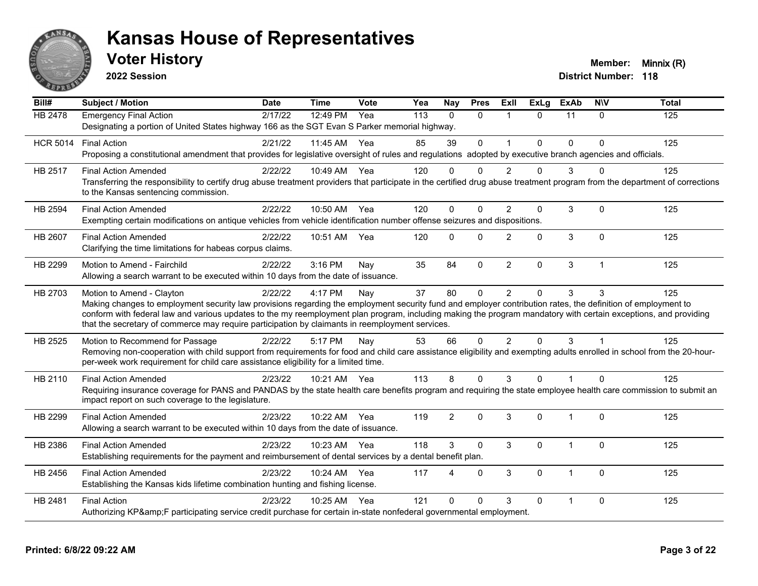

**2022 Session**

| Bill#           | <b>Subject / Motion</b>                                                                                                                                                                                                                                            | <b>Date</b> | <b>Time</b> | Vote | Yea | <b>Nay</b>     | <b>Pres</b>  | Exll                    | <b>ExLg</b>  | <b>ExAb</b>    | <b>NIV</b>   | <b>Total</b> |
|-----------------|--------------------------------------------------------------------------------------------------------------------------------------------------------------------------------------------------------------------------------------------------------------------|-------------|-------------|------|-----|----------------|--------------|-------------------------|--------------|----------------|--------------|--------------|
| <b>HB 2478</b>  | <b>Emergency Final Action</b>                                                                                                                                                                                                                                      | 2/17/22     | 12:49 PM    | Yea  | 113 | $\Omega$       | $\Omega$     | $\overline{\mathbf{1}}$ | $\Omega$     | 11             | $\Omega$     | 125          |
|                 | Designating a portion of United States highway 166 as the SGT Evan S Parker memorial highway.                                                                                                                                                                      |             |             |      |     |                |              |                         |              |                |              |              |
| <b>HCR 5014</b> | <b>Final Action</b>                                                                                                                                                                                                                                                | 2/21/22     | 11:45 AM    | Yea  | 85  | 39             | $\mathbf 0$  | $\mathbf{1}$            | $\mathbf{0}$ | $\Omega$       | 0            | 125          |
|                 | Proposing a constitutional amendment that provides for legislative oversight of rules and regulations adopted by executive branch agencies and officials.                                                                                                          |             |             |      |     |                |              |                         |              |                |              |              |
| HB 2517         | <b>Final Action Amended</b>                                                                                                                                                                                                                                        | 2/22/22     | 10:49 AM    | Yea  | 120 | $\Omega$       | $\Omega$     | $\mathfrak{p}$          | O.           | 3              | ∩            | 125          |
|                 | Transferring the responsibility to certify drug abuse treatment providers that participate in the certified drug abuse treatment program from the department of corrections<br>to the Kansas sentencing commission.                                                |             |             |      |     |                |              |                         |              |                |              |              |
| HB 2594         | <b>Final Action Amended</b>                                                                                                                                                                                                                                        | 2/22/22     | 10:50 AM    | Yea  | 120 | $\Omega$       | $\Omega$     | 2                       | $\Omega$     | 3              | $\Omega$     | 125          |
|                 | Exempting certain modifications on antique vehicles from vehicle identification number offense seizures and dispositions.                                                                                                                                          |             |             |      |     |                |              |                         |              |                |              |              |
| <b>HB 2607</b>  | <b>Final Action Amended</b>                                                                                                                                                                                                                                        | 2/22/22     | 10:51 AM    | Yea  | 120 | $\Omega$       | $\Omega$     | 2                       | $\Omega$     | 3              | $\Omega$     | 125          |
|                 | Clarifying the time limitations for habeas corpus claims.                                                                                                                                                                                                          |             |             |      |     |                |              |                         |              |                |              |              |
| HB 2299         | Motion to Amend - Fairchild                                                                                                                                                                                                                                        | 2/22/22     | 3:16 PM     | Nay  | 35  | 84             | $\mathbf 0$  | $\overline{2}$          | $\Omega$     | 3              | 1            | 125          |
|                 | Allowing a search warrant to be executed within 10 days from the date of issuance.                                                                                                                                                                                 |             |             |      |     |                |              |                         |              |                |              |              |
| HB 2703         | Motion to Amend - Clayton                                                                                                                                                                                                                                          | 2/22/22     | 4:17 PM     | Nay  | 37  | 80             | $\mathbf{0}$ | $\overline{2}$          | $\Omega$     | 3              | 3            | 125          |
|                 | Making changes to employment security law provisions regarding the employment security fund and employer contribution rates, the definition of employment to                                                                                                       |             |             |      |     |                |              |                         |              |                |              |              |
|                 | conform with federal law and various updates to the my reemployment plan program, including making the program mandatory with certain exceptions, and providing<br>that the secretary of commerce may require participation by claimants in reemployment services. |             |             |      |     |                |              |                         |              |                |              |              |
| HB 2525         | Motion to Recommend for Passage                                                                                                                                                                                                                                    | 2/22/22     | 5:17 PM     | Nay  | 53  | 66             | $\Omega$     | 2                       | $\Omega$     | 3              |              | 125          |
|                 | Removing non-cooperation with child support from requirements for food and child care assistance eligibility and exempting adults enrolled in school from the 20-hour-                                                                                             |             |             |      |     |                |              |                         |              |                |              |              |
|                 | per-week work requirement for child care assistance eligibility for a limited time.                                                                                                                                                                                |             |             |      |     |                |              |                         |              |                |              |              |
| HB 2110         | <b>Final Action Amended</b>                                                                                                                                                                                                                                        | 2/23/22     | 10:21 AM    | Yea  | 113 | 8              | $\Omega$     | 3                       | $\Omega$     | $\overline{1}$ | $\Omega$     | 125          |
|                 | Requiring insurance coverage for PANS and PANDAS by the state health care benefits program and requiring the state employee health care commission to submit an                                                                                                    |             |             |      |     |                |              |                         |              |                |              |              |
|                 | impact report on such coverage to the legislature.                                                                                                                                                                                                                 |             |             |      |     |                |              |                         |              |                |              |              |
| HB 2299         | <b>Final Action Amended</b>                                                                                                                                                                                                                                        | 2/23/22     | 10:22 AM    | Yea  | 119 | $\overline{2}$ | $\Omega$     | 3                       | $\Omega$     | $\overline{1}$ | $\mathbf{0}$ | 125          |
|                 | Allowing a search warrant to be executed within 10 days from the date of issuance.                                                                                                                                                                                 |             |             |      |     |                |              |                         |              |                |              |              |
| HB 2386         | <b>Final Action Amended</b>                                                                                                                                                                                                                                        | 2/23/22     | 10:23 AM    | Yea  | 118 | 3              | $\Omega$     | 3                       | $\Omega$     | 1              | $\mathbf 0$  | 125          |
|                 | Establishing requirements for the payment and reimbursement of dental services by a dental benefit plan.                                                                                                                                                           |             |             |      |     |                |              |                         |              |                |              |              |
| HB 2456         | <b>Final Action Amended</b>                                                                                                                                                                                                                                        | 2/23/22     | 10:24 AM    | Yea  | 117 | 4              | $\Omega$     | 3                       | $\Omega$     | $\mathbf{1}$   | $\Omega$     | 125          |
|                 | Establishing the Kansas kids lifetime combination hunting and fishing license.                                                                                                                                                                                     |             |             |      |     |                |              |                         |              |                |              |              |
| HB 2481         | <b>Final Action</b>                                                                                                                                                                                                                                                | 2/23/22     | 10:25 AM    | Yea  | 121 | $\Omega$       | $\mathbf 0$  | 3                       | $\Omega$     | $\overline{1}$ | $\Omega$     | 125          |
|                 | Authorizing KP&F participating service credit purchase for certain in-state nonfederal governmental employment.                                                                                                                                                    |             |             |      |     |                |              |                         |              |                |              |              |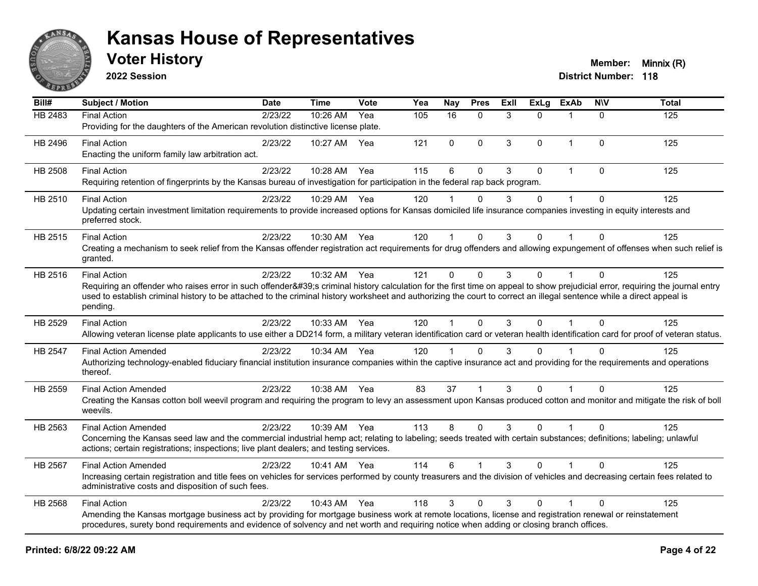

**2022 Session**

| Bill#          | Subject / Motion                                                                                                                                                                                                                                                                                                                                                                       | <b>Date</b> | <b>Time</b>  | Vote | Yea | <b>Nay</b>           | <b>Pres</b>  | Exll | <b>ExLg</b> | <b>ExAb</b>    | <b>NIV</b>   | <b>Total</b> |
|----------------|----------------------------------------------------------------------------------------------------------------------------------------------------------------------------------------------------------------------------------------------------------------------------------------------------------------------------------------------------------------------------------------|-------------|--------------|------|-----|----------------------|--------------|------|-------------|----------------|--------------|--------------|
| <b>HB 2483</b> | <b>Final Action</b><br>Providing for the daughters of the American revolution distinctive license plate.                                                                                                                                                                                                                                                                               | 2/23/22     | 10:26 AM     | Yea  | 105 | 16                   | $\mathbf{0}$ | 3    | $\Omega$    | $\mathbf{1}$   | $\Omega$     | 125          |
| HB 2496        | <b>Final Action</b><br>Enacting the uniform family law arbitration act.                                                                                                                                                                                                                                                                                                                | 2/23/22     | 10:27 AM     | Yea  | 121 | $\mathbf 0$          | $\mathbf 0$  | 3    | 0           | $\overline{1}$ | $\mathbf 0$  | 125          |
| HB 2508        | <b>Final Action</b><br>Requiring retention of fingerprints by the Kansas bureau of investigation for participation in the federal rap back program.                                                                                                                                                                                                                                    | 2/23/22     | 10:28 AM     | Yea  | 115 | $6\phantom{1}6$      | $\mathbf 0$  | 3    | 0           | 1              | $\Omega$     | 125          |
| HB 2510        | <b>Final Action</b><br>Updating certain investment limitation requirements to provide increased options for Kansas domiciled life insurance companies investing in equity interests and<br>preferred stock.                                                                                                                                                                            | 2/23/22     | 10:29 AM Yea |      | 120 |                      | $\Omega$     | 3    | 0           |                | $\Omega$     | 125          |
| HB 2515        | <b>Final Action</b><br>Creating a mechanism to seek relief from the Kansas offender registration act requirements for drug offenders and allowing expungement of offenses when such relief is<br>granted.                                                                                                                                                                              | 2/23/22     | 10:30 AM Yea |      | 120 | $\blacktriangleleft$ | $\Omega$     | 3    | 0           |                | $\Omega$     | 125          |
| HB 2516        | <b>Final Action</b><br>Requiring an offender who raises error in such offender's criminal history calculation for the first time on appeal to show prejudicial error, requiring the journal entry<br>used to establish criminal history to be attached to the criminal history worksheet and authorizing the court to correct an illegal sentence while a direct appeal is<br>pending. | 2/23/22     | 10:32 AM Yea |      | 121 | $\Omega$             | $\Omega$     | 3    | $\Omega$    | 1              | $\Omega$     | 125          |
| HB 2529        | <b>Final Action</b><br>Allowing veteran license plate applicants to use either a DD214 form, a military veteran identification card or veteran health identification card for proof of veteran status.                                                                                                                                                                                 | 2/23/22     | 10:33 AM Yea |      | 120 | 1                    | $\Omega$     | 3    | $\Omega$    |                | $\Omega$     | 125          |
| HB 2547        | <b>Final Action Amended</b><br>Authorizing technology-enabled fiduciary financial institution insurance companies within the captive insurance act and providing for the requirements and operations<br>thereof.                                                                                                                                                                       | 2/23/22     | 10:34 AM Yea |      | 120 |                      | $\Omega$     | 3    | $\Omega$    |                | $\Omega$     | 125          |
| HB 2559        | <b>Final Action Amended</b><br>Creating the Kansas cotton boll weevil program and requiring the program to levy an assessment upon Kansas produced cotton and monitor and mitigate the risk of boll<br>weevils.                                                                                                                                                                        | 2/23/22     | 10:38 AM     | Yea  | 83  | 37                   | 1            | 3    | $\Omega$    |                | $\Omega$     | 125          |
| HB 2563        | <b>Final Action Amended</b><br>Concerning the Kansas seed law and the commercial industrial hemp act; relating to labeling; seeds treated with certain substances; definitions; labeling; unlawful<br>actions; certain registrations; inspections; live plant dealers; and testing services.                                                                                           | 2/23/22     | 10:39 AM Yea |      | 113 | 8                    | $\Omega$     | 3    | $\Omega$    | $\overline{1}$ | $\Omega$     | 125          |
| HB 2567        | <b>Final Action Amended</b><br>Increasing certain registration and title fees on vehicles for services performed by county treasurers and the division of vehicles and decreasing certain fees related to<br>administrative costs and disposition of such fees.                                                                                                                        | 2/23/22     | 10:41 AM Yea |      | 114 | 6                    |              | 3    | 0           |                | $\mathbf{0}$ | 125          |
| HB 2568        | <b>Final Action</b><br>Amending the Kansas mortgage business act by providing for mortgage business work at remote locations, license and registration renewal or reinstatement<br>procedures, surety bond requirements and evidence of solvency and net worth and requiring notice when adding or closing branch offices.                                                             | 2/23/22     | 10:43 AM     | Yea  | 118 | 3                    | $\Omega$     | 3    | $\Omega$    | 1              | $\Omega$     | 125          |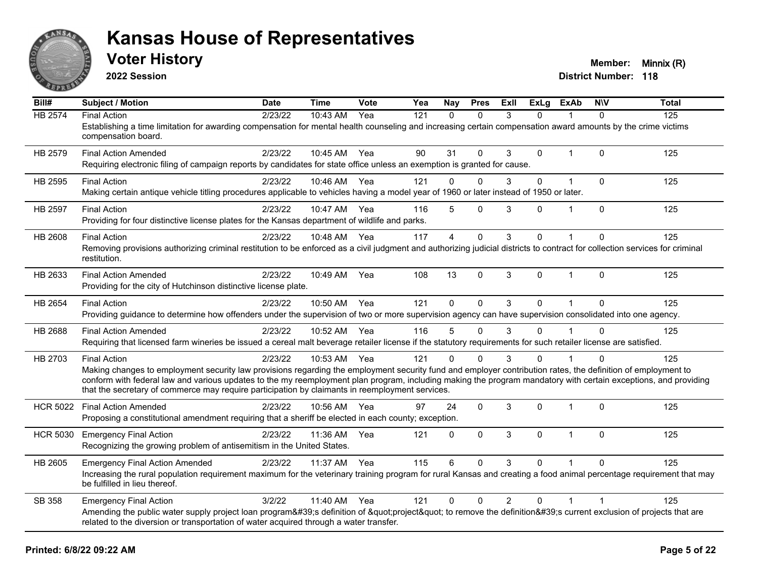

**2022 Session**

| Bill#           | <b>Subject / Motion</b>                                                                                                                                                                                                                                                                                                                                                                                                                                   | <b>Date</b> | <b>Time</b>  | Vote | Yea | Nav          | <b>Pres</b> | Exll          | <b>ExLa</b> | <b>ExAb</b>  | <b>NIV</b>   | <b>Total</b> |
|-----------------|-----------------------------------------------------------------------------------------------------------------------------------------------------------------------------------------------------------------------------------------------------------------------------------------------------------------------------------------------------------------------------------------------------------------------------------------------------------|-------------|--------------|------|-----|--------------|-------------|---------------|-------------|--------------|--------------|--------------|
| <b>HB 2574</b>  | <b>Final Action</b><br>Establishing a time limitation for awarding compensation for mental health counseling and increasing certain compensation award amounts by the crime victims<br>compensation board.                                                                                                                                                                                                                                                | 2/23/22     | 10:43 AM     | Yea  | 121 | $\Omega$     | $\Omega$    | 3             | $\Omega$    |              | $\Omega$     | 125          |
| HB 2579         | <b>Final Action Amended</b><br>Requiring electronic filing of campaign reports by candidates for state office unless an exemption is granted for cause.                                                                                                                                                                                                                                                                                                   | 2/23/22     | 10:45 AM     | Yea  | 90  | 31           | $\Omega$    | 3             | 0           |              | $\mathbf{0}$ | 125          |
| HB 2595         | <b>Final Action</b><br>Making certain antique vehicle titling procedures applicable to vehicles having a model year of 1960 or later instead of 1950 or later.                                                                                                                                                                                                                                                                                            | 2/23/22     | 10:46 AM     | Yea  | 121 | $\Omega$     | $\Omega$    | 3             | $\Omega$    | $\mathbf{1}$ | $\Omega$     | 125          |
| HB 2597         | <b>Final Action</b><br>Providing for four distinctive license plates for the Kansas department of wildlife and parks.                                                                                                                                                                                                                                                                                                                                     | 2/23/22     | 10:47 AM     | Yea  | 116 | 5            | $\Omega$    | 3             | 0           | $\mathbf 1$  | $\Omega$     | 125          |
| HB 2608         | <b>Final Action</b><br>Removing provisions authorizing criminal restitution to be enforced as a civil judgment and authorizing judicial districts to contract for collection services for criminal<br>restitution.                                                                                                                                                                                                                                        | 2/23/22     | 10:48 AM     | Yea  | 117 | 4            | $\Omega$    | 3             | 0           |              | $\Omega$     | 125          |
| HB 2633         | <b>Final Action Amended</b><br>Providing for the city of Hutchinson distinctive license plate.                                                                                                                                                                                                                                                                                                                                                            | 2/23/22     | 10:49 AM     | Yea  | 108 | 13           | $\Omega$    | 3             | $\Omega$    | $\mathbf{1}$ | $\Omega$     | 125          |
| HB 2654         | <b>Final Action</b><br>Providing guidance to determine how offenders under the supervision of two or more supervision agency can have supervision consolidated into one agency.                                                                                                                                                                                                                                                                           | 2/23/22     | 10:50 AM     | Yea  | 121 | $\Omega$     | $\Omega$    | 3             | $\Omega$    |              | $\Omega$     | 125          |
| HB 2688         | <b>Final Action Amended</b><br>Requiring that licensed farm wineries be issued a cereal malt beverage retailer license if the statutory requirements for such retailer license are satisfied.                                                                                                                                                                                                                                                             | 2/23/22     | 10:52 AM     | Yea  | 116 | 5            | $\Omega$    | 3             | $\Omega$    |              | $\Omega$     | 125          |
| HB 2703         | <b>Final Action</b><br>Making changes to employment security law provisions regarding the employment security fund and employer contribution rates, the definition of employment to<br>conform with federal law and various updates to the my reemployment plan program, including making the program mandatory with certain exceptions, and providing<br>that the secretary of commerce may require participation by claimants in reemployment services. | 2/23/22     | 10:53 AM     | Yea  | 121 | 0            | $\Omega$    | $\mathcal{R}$ | $\Omega$    |              | $\Omega$     | 125          |
| <b>HCR 5022</b> | <b>Final Action Amended</b><br>Proposing a constitutional amendment requiring that a sheriff be elected in each county; exception.                                                                                                                                                                                                                                                                                                                        | 2/23/22     | 10:56 AM     | Yea  | 97  | 24           | $\Omega$    | 3             | $\Omega$    | $\mathbf 1$  | $\Omega$     | 125          |
| <b>HCR 5030</b> | <b>Emergency Final Action</b><br>Recognizing the growing problem of antisemitism in the United States.                                                                                                                                                                                                                                                                                                                                                    | 2/23/22     | 11:36 AM     | Yea  | 121 | 0            | $\Omega$    | 3             | 0           | $\mathbf{1}$ | $\Omega$     | 125          |
| HB 2605         | <b>Emergency Final Action Amended</b><br>Increasing the rural population requirement maximum for the veterinary training program for rural Kansas and creating a food animal percentage requirement that may<br>be fulfilled in lieu thereof.                                                                                                                                                                                                             | 2/23/22     | 11:37 AM     | Yea  | 115 | 6            | $\Omega$    | 3             | $\Omega$    |              | $\Omega$     | 125          |
| <b>SB 358</b>   | <b>Emergency Final Action</b><br>Amending the public water supply project loan program's definition of "project" to remove the definition's current exclusion of projects that are<br>related to the diversion or transportation of water acquired through a water transfer.                                                                                                                                                                              | 3/2/22      | 11:40 AM Yea |      | 121 | $\mathbf{0}$ | $\Omega$    | 2             | $\Omega$    | $\mathbf 1$  |              | 125          |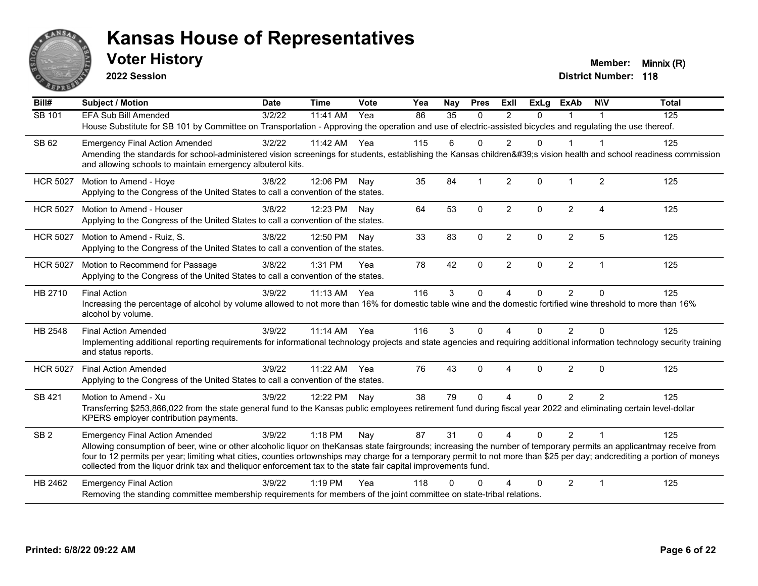

**2022 Session**

| Bill#           | <b>Subject / Motion</b>                                                                                                                                                                                                                                                                                                                                                                                                                                             | <b>Date</b> | <b>Time</b>  | <b>Vote</b> | Yea | Nay | <b>Pres</b>  | Exll                    | <b>ExLg</b> | <b>ExAb</b>    | <b>NIV</b>              | <b>Total</b> |
|-----------------|---------------------------------------------------------------------------------------------------------------------------------------------------------------------------------------------------------------------------------------------------------------------------------------------------------------------------------------------------------------------------------------------------------------------------------------------------------------------|-------------|--------------|-------------|-----|-----|--------------|-------------------------|-------------|----------------|-------------------------|--------------|
| SB 101          | EFA Sub Bill Amended                                                                                                                                                                                                                                                                                                                                                                                                                                                | 3/2/22      | 11:41 AM     | Yea         | 86  | 35  | $\Omega$     | $\overline{2}$          | $\Omega$    |                |                         | 125          |
|                 | House Substitute for SB 101 by Committee on Transportation - Approving the operation and use of electric-assisted bicycles and regulating the use thereof.                                                                                                                                                                                                                                                                                                          |             |              |             |     |     |              |                         |             |                |                         |              |
| SB 62           | <b>Emergency Final Action Amended</b>                                                                                                                                                                                                                                                                                                                                                                                                                               | 3/2/22      | 11:42 AM     | Yea         | 115 | 6   | $\Omega$     | 2                       | $\Omega$    |                | -1                      | 125          |
|                 | Amending the standards for school-administered vision screenings for students, establishing the Kansas children's vision health and school readiness commission<br>and allowing schools to maintain emergency albuterol kits.                                                                                                                                                                                                                                       |             |              |             |     |     |              |                         |             |                |                         |              |
| <b>HCR 5027</b> | Motion to Amend - Hoye<br>Applying to the Congress of the United States to call a convention of the states.                                                                                                                                                                                                                                                                                                                                                         | 3/8/22      | 12:06 PM     | Nav         | 35  | 84  | $\mathbf{1}$ | $\overline{2}$          | $\Omega$    | $\overline{1}$ | 2                       | 125          |
| <b>HCR 5027</b> | Motion to Amend - Houser                                                                                                                                                                                                                                                                                                                                                                                                                                            | 3/8/22      | 12:23 PM     | Nay         | 64  | 53  | $\Omega$     | $\overline{2}$          | $\Omega$    | $\overline{2}$ | $\overline{A}$          | 125          |
|                 | Applying to the Congress of the United States to call a convention of the states.                                                                                                                                                                                                                                                                                                                                                                                   |             |              |             |     |     |              |                         |             |                |                         |              |
| <b>HCR 5027</b> | Motion to Amend - Ruiz, S.                                                                                                                                                                                                                                                                                                                                                                                                                                          | 3/8/22      | 12:50 PM     | Nay         | 33  | 83  | $\Omega$     | $\overline{2}$          | 0           | $\overline{c}$ | 5                       | 125          |
|                 | Applying to the Congress of the United States to call a convention of the states.                                                                                                                                                                                                                                                                                                                                                                                   |             |              |             |     |     |              |                         |             |                |                         |              |
| <b>HCR 5027</b> | Motion to Recommend for Passage                                                                                                                                                                                                                                                                                                                                                                                                                                     | 3/8/22      | $1:31$ PM    | Yea         | 78  | 42  | $\Omega$     | $\overline{2}$          | $\Omega$    | $\overline{2}$ | $\mathbf 1$             | 125          |
|                 | Applying to the Congress of the United States to call a convention of the states.                                                                                                                                                                                                                                                                                                                                                                                   |             |              |             |     |     |              |                         |             |                |                         |              |
| HB 2710         | <b>Final Action</b>                                                                                                                                                                                                                                                                                                                                                                                                                                                 | 3/9/22      | $11:13$ AM   | Yea         | 116 | 3   | $\mathbf{0}$ | $\overline{4}$          | $\Omega$    | $\overline{2}$ | $\Omega$                | 125          |
|                 | Increasing the percentage of alcohol by volume allowed to not more than 16% for domestic table wine and the domestic fortified wine threshold to more than 16%<br>alcohol by volume.                                                                                                                                                                                                                                                                                |             |              |             |     |     |              |                         |             |                |                         |              |
| HB 2548         | <b>Final Action Amended</b>                                                                                                                                                                                                                                                                                                                                                                                                                                         | 3/9/22      | 11:14 AM Yea |             | 116 | 3   | $\Omega$     | Δ                       | 0           | $\overline{2}$ | $\Omega$                | 125          |
|                 | Implementing additional reporting requirements for informational technology projects and state agencies and requiring additional information technology security training<br>and status reports.                                                                                                                                                                                                                                                                    |             |              |             |     |     |              |                         |             |                |                         |              |
| <b>HCR 5027</b> | <b>Final Action Amended</b>                                                                                                                                                                                                                                                                                                                                                                                                                                         | 3/9/22      | 11:22 AM     | Yea         | 76  | 43  | $\Omega$     | $\overline{\mathbf{A}}$ | $\Omega$    | $\overline{2}$ | $\Omega$                | 125          |
|                 | Applying to the Congress of the United States to call a convention of the states.                                                                                                                                                                                                                                                                                                                                                                                   |             |              |             |     |     |              |                         |             |                |                         |              |
| SB 421          | Motion to Amend - Xu                                                                                                                                                                                                                                                                                                                                                                                                                                                | 3/9/22      | 12:22 PM     | Nay         | 38  | 79  | $\Omega$     | 4                       | $\Omega$    | 2              | $\overline{2}$          | 125          |
|                 | Transferring \$253,866,022 from the state general fund to the Kansas public employees retirement fund during fiscal year 2022 and eliminating certain level-dollar<br>KPERS employer contribution payments.                                                                                                                                                                                                                                                         |             |              |             |     |     |              |                         |             |                |                         |              |
| SB <sub>2</sub> | <b>Emergency Final Action Amended</b>                                                                                                                                                                                                                                                                                                                                                                                                                               | 3/9/22      | 1:18 PM      | Nay         | 87  | 31  | $\mathbf{0}$ | $\boldsymbol{\Lambda}$  | $\Omega$    | $\overline{2}$ | $\overline{\mathbf{1}}$ | 125          |
|                 | Allowing consumption of beer, wine or other alcoholic liquor on theKansas state fairgrounds; increasing the number of temporary permits an applicantmay receive from<br>four to 12 permits per year; limiting what cities, counties ortownships may charge for a temporary permit to not more than \$25 per day; andcrediting a portion of moneys<br>collected from the liquor drink tax and theliquor enforcement tax to the state fair capital improvements fund. |             |              |             |     |     |              |                         |             |                |                         |              |
| HB 2462         | <b>Emergency Final Action</b>                                                                                                                                                                                                                                                                                                                                                                                                                                       | 3/9/22      | $1:19$ PM    | Yea         | 118 | U   | ∩            |                         | 0           | $\overline{2}$ | $\blacktriangleleft$    | 125          |
|                 | Removing the standing committee membership requirements for members of the joint committee on state-tribal relations.                                                                                                                                                                                                                                                                                                                                               |             |              |             |     |     |              |                         |             |                |                         |              |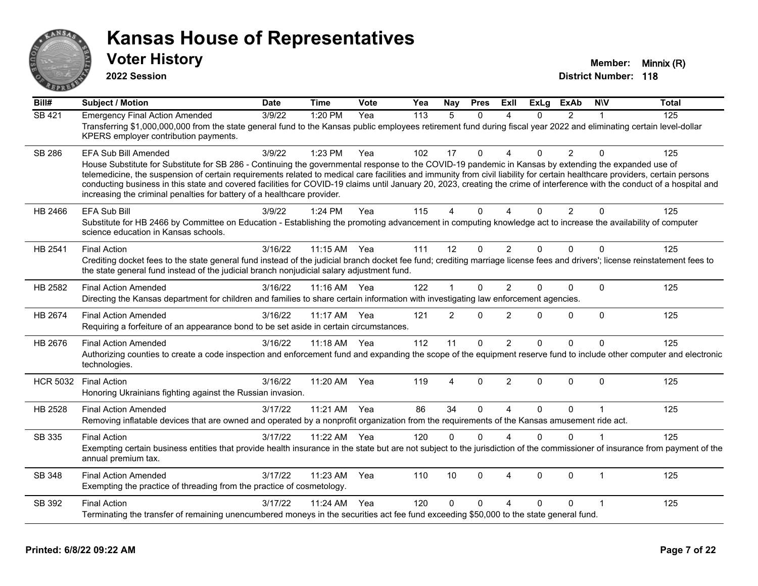

**2022 Session**

| $\overline{Bill#}$ | <b>Subject / Motion</b>                                                                                                                                                                                                                                                                                                                                                                                                                                                                                                                                                                                               | <b>Date</b> | <b>Time</b>  | <b>Vote</b> | Yea | Nay            | <b>Pres</b>  | <b>ExII</b>            | <b>ExLg</b> | <b>ExAb</b>    | <b>NIV</b>     | <b>Total</b> |
|--------------------|-----------------------------------------------------------------------------------------------------------------------------------------------------------------------------------------------------------------------------------------------------------------------------------------------------------------------------------------------------------------------------------------------------------------------------------------------------------------------------------------------------------------------------------------------------------------------------------------------------------------------|-------------|--------------|-------------|-----|----------------|--------------|------------------------|-------------|----------------|----------------|--------------|
| SB 421             | <b>Emergency Final Action Amended</b><br>Transferring \$1,000,000,000 from the state general fund to the Kansas public employees retirement fund during fiscal year 2022 and eliminating certain level-dollar<br>KPERS employer contribution payments.                                                                                                                                                                                                                                                                                                                                                                | 3/9/22      | 1:20 PM      | Yea         | 113 | 5              | $\Omega$     | Δ                      | $\Omega$    | $\overline{2}$ |                | 125          |
| SB 286             | EFA Sub Bill Amended<br>House Substitute for Substitute for SB 286 - Continuing the governmental response to the COVID-19 pandemic in Kansas by extending the expanded use of<br>telemedicine, the suspension of certain requirements related to medical care facilities and immunity from civil liability for certain healthcare providers, certain persons<br>conducting business in this state and covered facilities for COVID-19 claims until January 20, 2023, creating the crime of interference with the conduct of a hospital and<br>increasing the criminal penalties for battery of a healthcare provider. | 3/9/22      | 1:23 PM      | Yea         | 102 | 17             | $\mathbf{0}$ | 4                      | $\Omega$    | $\overline{2}$ | $\Omega$       | 125          |
| HB 2466            | <b>EFA Sub Bill</b><br>Substitute for HB 2466 by Committee on Education - Establishing the promoting advancement in computing knowledge act to increase the availability of computer<br>science education in Kansas schools.                                                                                                                                                                                                                                                                                                                                                                                          | 3/9/22      | 1:24 PM      | Yea         | 115 | 4              | $\Omega$     | 4                      | $\Omega$    | $\overline{2}$ | $\Omega$       | 125          |
| HB 2541            | <b>Final Action</b><br>Crediting docket fees to the state general fund instead of the judicial branch docket fee fund; crediting marriage license fees and drivers'; license reinstatement fees to<br>the state general fund instead of the judicial branch nonjudicial salary adjustment fund.                                                                                                                                                                                                                                                                                                                       | 3/16/22     | 11:15 AM     | Yea         | 111 | 12             | $\mathbf{0}$ | 2                      | 0           | $\Omega$       | $\Omega$       | 125          |
| HB 2582            | <b>Final Action Amended</b><br>Directing the Kansas department for children and families to share certain information with investigating law enforcement agencies.                                                                                                                                                                                                                                                                                                                                                                                                                                                    | 3/16/22     | $11:16$ AM   | Yea         | 122 | $\overline{1}$ | $\Omega$     | $\overline{2}$         | 0           | $\Omega$       | $\mathbf{0}$   | 125          |
| HB 2674            | <b>Final Action Amended</b><br>Requiring a forfeiture of an appearance bond to be set aside in certain circumstances.                                                                                                                                                                                                                                                                                                                                                                                                                                                                                                 | 3/16/22     | 11:17 AM     | Yea         | 121 | $\overline{2}$ | $\Omega$     | $\overline{2}$         | $\Omega$    | $\Omega$       | $\Omega$       | 125          |
| HB 2676            | <b>Final Action Amended</b><br>Authorizing counties to create a code inspection and enforcement fund and expanding the scope of the equipment reserve fund to include other computer and electronic<br>technologies.                                                                                                                                                                                                                                                                                                                                                                                                  | 3/16/22     | 11:18 AM Yea |             | 112 | 11             | $\mathbf{0}$ | 2                      | $\Omega$    | $\Omega$       | $\Omega$       | 125          |
| <b>HCR 5032</b>    | <b>Final Action</b><br>Honoring Ukrainians fighting against the Russian invasion.                                                                                                                                                                                                                                                                                                                                                                                                                                                                                                                                     | 3/16/22     | 11:20 AM     | Yea         | 119 | $\overline{4}$ | $\mathbf{0}$ | 2                      | 0           | $\Omega$       | $\mathbf{0}$   | 125          |
| HB 2528            | <b>Final Action Amended</b><br>Removing inflatable devices that are owned and operated by a nonprofit organization from the requirements of the Kansas amusement ride act.                                                                                                                                                                                                                                                                                                                                                                                                                                            | 3/17/22     | 11:21 AM     | Yea         | 86  | 34             | $\mathbf 0$  | 4                      | 0           | $\mathbf 0$    |                | 125          |
| SB 335             | <b>Final Action</b><br>Exempting certain business entities that provide health insurance in the state but are not subject to the jurisdiction of the commissioner of insurance from payment of the<br>annual premium tax.                                                                                                                                                                                                                                                                                                                                                                                             | 3/17/22     | $11:22$ AM   | Yea         | 120 | $\Omega$       | $\Omega$     |                        | $\Omega$    | $\Omega$       |                | 125          |
| SB 348             | <b>Final Action Amended</b><br>Exempting the practice of threading from the practice of cosmetology.                                                                                                                                                                                                                                                                                                                                                                                                                                                                                                                  | 3/17/22     | 11:23 AM     | Yea         | 110 | 10             | $\Omega$     | $\boldsymbol{\Lambda}$ | 0           | $\Omega$       | $\overline{1}$ | 125          |
| SB 392             | <b>Final Action</b><br>Terminating the transfer of remaining unencumbered moneys in the securities act fee fund exceeding \$50,000 to the state general fund.                                                                                                                                                                                                                                                                                                                                                                                                                                                         | 3/17/22     | 11:24 AM     | Yea         | 120 | $\Omega$       | $\Omega$     | 4                      | $\Omega$    | $\Omega$       | $\overline{1}$ | 125          |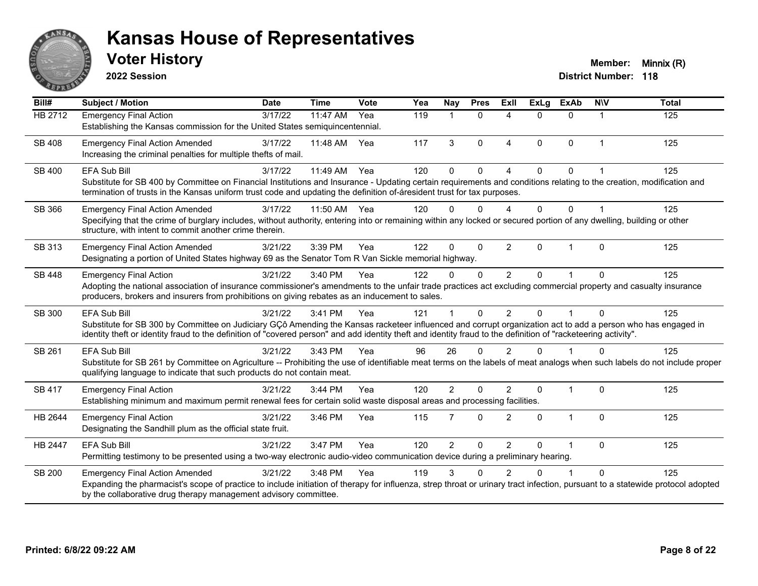

**2022 Session**

| Bill#         | <b>Subject / Motion</b>                                                                                                                                                                                                                                                                                                                               | <b>Date</b> | <b>Time</b>  | Vote | Yea | Nay            | <b>Pres</b>  | Exll           | <b>ExLg</b>  | <b>ExAb</b>    | <b>NIV</b>           | <b>Total</b> |
|---------------|-------------------------------------------------------------------------------------------------------------------------------------------------------------------------------------------------------------------------------------------------------------------------------------------------------------------------------------------------------|-------------|--------------|------|-----|----------------|--------------|----------------|--------------|----------------|----------------------|--------------|
| HB 2712       | <b>Emergency Final Action</b><br>Establishing the Kansas commission for the United States semiquincentennial.                                                                                                                                                                                                                                         | 3/17/22     | 11:47 AM     | Yea  | 119 | 1              | $\mathbf{0}$ | 4              | $\Omega$     | $\Omega$       | 1                    | 125          |
| SB 408        | <b>Emergency Final Action Amended</b><br>Increasing the criminal penalties for multiple thefts of mail.                                                                                                                                                                                                                                               | 3/17/22     | 11:48 AM Yea |      | 117 | 3              | $\mathbf{0}$ | 4              | $\Omega$     | $\mathbf{0}$   | $\blacktriangleleft$ | 125          |
| <b>SB 400</b> | <b>EFA Sub Bill</b><br>Substitute for SB 400 by Committee on Financial Institutions and Insurance - Updating certain requirements and conditions relating to the creation, modification and<br>termination of trusts in the Kansas uniform trust code and updating the definition of-áresident trust for tax purposes.                                | 3/17/22     | 11:49 AM     | Yea  | 120 | $\Omega$       | $\Omega$     | 4              | $\Omega$     | $\Omega$       |                      | 125          |
| SB 366        | <b>Emergency Final Action Amended</b><br>Specifying that the crime of burglary includes, without authority, entering into or remaining within any locked or secured portion of any dwelling, building or other<br>structure, with intent to commit another crime therein.                                                                             | 3/17/22     | 11:50 AM     | Yea  | 120 | ŋ              | 0            | Δ              | 0            | $\Omega$       |                      | 125          |
| SB 313        | <b>Emergency Final Action Amended</b><br>Designating a portion of United States highway 69 as the Senator Tom R Van Sickle memorial highway.                                                                                                                                                                                                          | 3/21/22     | 3:39 PM      | Yea  | 122 | $\Omega$       | $\Omega$     | $\overline{2}$ | $\Omega$     | $\overline{1}$ | $\Omega$             | 125          |
| SB 448        | <b>Emergency Final Action</b><br>Adopting the national association of insurance commissioner's amendments to the unfair trade practices act excluding commercial property and casualty insurance<br>producers, brokers and insurers from prohibitions on giving rebates as an inducement to sales.                                                    | 3/21/22     | 3:40 PM      | Yea  | 122 | $\Omega$       | $\Omega$     | $\overline{2}$ | $\Omega$     |                | $\Omega$             | 125          |
| SB 300        | <b>EFA Sub Bill</b><br>Substitute for SB 300 by Committee on Judiciary GÇô Amending the Kansas racketeer influenced and corrupt organization act to add a person who has engaged in<br>identity theft or identity fraud to the definition of "covered person" and add identity theft and identity fraud to the definition of "racketeering activity". | 3/21/22     | 3:41 PM      | Yea  | 121 |                | $\Omega$     | $\overline{2}$ | $\Omega$     |                | $\Omega$             | 125          |
| SB 261        | <b>EFA Sub Bill</b><br>Substitute for SB 261 by Committee on Agriculture -- Prohibiting the use of identifiable meat terms on the labels of meat analogs when such labels do not include proper<br>qualifying language to indicate that such products do not contain meat.                                                                            | 3/21/22     | 3:43 PM      | Yea  | 96  | 26             | $\Omega$     | $\overline{2}$ | $\Omega$     |                | $\Omega$             | 125          |
| <b>SB 417</b> | <b>Emergency Final Action</b><br>Establishing minimum and maximum permit renewal fees for certain solid waste disposal areas and processing facilities.                                                                                                                                                                                               | 3/21/22     | 3:44 PM      | Yea  | 120 | $\overline{2}$ | $\Omega$     | $\mathfrak{p}$ | $\mathbf{0}$ | $\overline{1}$ | $\Omega$             | 125          |
| HB 2644       | <b>Emergency Final Action</b><br>Designating the Sandhill plum as the official state fruit.                                                                                                                                                                                                                                                           | 3/21/22     | 3:46 PM      | Yea  | 115 | $\overline{7}$ | $\Omega$     | $\overline{2}$ | $\Omega$     | $\overline{1}$ | $\Omega$             | 125          |
| HB 2447       | <b>EFA Sub Bill</b><br>Permitting testimony to be presented using a two-way electronic audio-video communication device during a preliminary hearing.                                                                                                                                                                                                 | 3/21/22     | 3:47 PM      | Yea  | 120 | $\overline{2}$ | $\Omega$     | $\overline{2}$ | $\Omega$     | 1              | $\mathbf{0}$         | 125          |
| <b>SB 200</b> | <b>Emergency Final Action Amended</b><br>Expanding the pharmacist's scope of practice to include initiation of therapy for influenza, strep throat or urinary tract infection, pursuant to a statewide protocol adopted<br>by the collaborative drug therapy management advisory committee.                                                           | 3/21/22     | 3:48 PM      | Yea  | 119 | 3              | U            | 2              |              |                | $\Omega$             | 125          |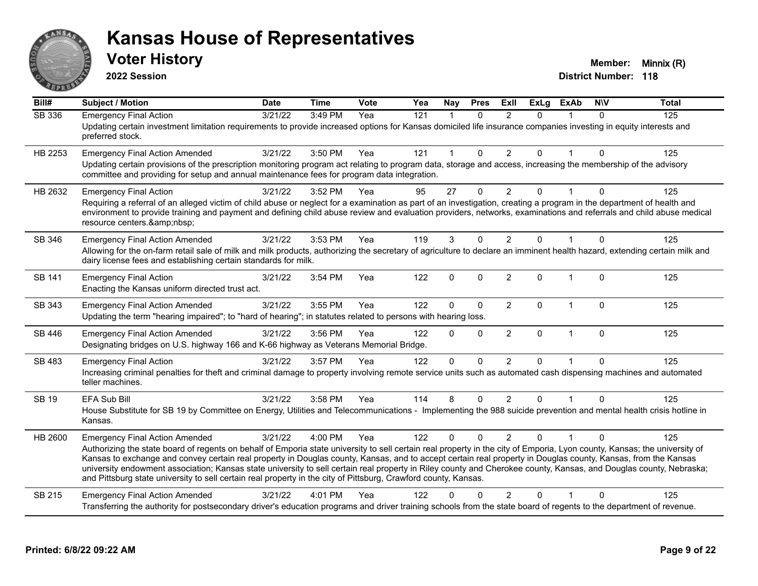

**2022 Session**

| Bill#         | <b>Subject / Motion</b>                                                                                                                                                                                                                                                                                                                                                                                                                                                                                                                                                                                                                                                      | <b>Date</b> | <b>Time</b> | Vote | Yea              | <b>Nay</b>   | <b>Pres</b>  | Exll           | <b>ExLg</b>    | <b>ExAb</b>    | <b>NIV</b>   | <b>Total</b> |
|---------------|------------------------------------------------------------------------------------------------------------------------------------------------------------------------------------------------------------------------------------------------------------------------------------------------------------------------------------------------------------------------------------------------------------------------------------------------------------------------------------------------------------------------------------------------------------------------------------------------------------------------------------------------------------------------------|-------------|-------------|------|------------------|--------------|--------------|----------------|----------------|----------------|--------------|--------------|
| <b>SB 336</b> | <b>Emergency Final Action</b><br>Updating certain investment limitation requirements to provide increased options for Kansas domiciled life insurance companies investing in equity interests and<br>preferred stock.                                                                                                                                                                                                                                                                                                                                                                                                                                                        | 3/21/22     | 3:49 PM     | Yea  | $\overline{121}$ | $\mathbf 1$  | $\mathbf{0}$ | 2              | $\Omega$       |                | $\mathbf{0}$ | 125          |
| HB 2253       | <b>Emergency Final Action Amended</b><br>Updating certain provisions of the prescription monitoring program act relating to program data, storage and access, increasing the membership of the advisory<br>committee and providing for setup and annual maintenance fees for program data integration.                                                                                                                                                                                                                                                                                                                                                                       | 3/21/22     | 3:50 PM     | Yea  | 121              | $\mathbf 1$  | $\mathbf{0}$ | $\overline{2}$ | $\mathbf{0}$   | $\overline{1}$ | $\Omega$     | 125          |
| HB 2632       | <b>Emergency Final Action</b><br>Requiring a referral of an alleged victim of child abuse or neglect for a examination as part of an investigation, creating a program in the department of health and<br>environment to provide training and payment and defining child abuse review and evaluation providers, networks, examinations and referrals and child abuse medical<br>resource centers.                                                                                                                                                                                                                                                                            | 3/21/22     | 3:52 PM     | Yea  | 95               | 27           | $\Omega$     | 2              | 0              |                | $\Omega$     | 125          |
| SB 346        | <b>Emergency Final Action Amended</b><br>Allowing for the on-farm retail sale of milk and milk products, authorizing the secretary of agriculture to declare an imminent health hazard, extending certain milk and<br>dairy license fees and establishing certain standards for milk.                                                                                                                                                                                                                                                                                                                                                                                        | 3/21/22     | 3:53 PM     | Yea  | 119              | 3            | $\Omega$     | 2              | $\mathbf{0}$   |                | $\mathbf{0}$ | 125          |
| SB 141        | <b>Emergency Final Action</b><br>Enacting the Kansas uniform directed trust act.                                                                                                                                                                                                                                                                                                                                                                                                                                                                                                                                                                                             | 3/21/22     | 3:54 PM     | Yea  | 122              | $\mathbf{0}$ | $\Omega$     | 2              | $\Omega$       | $\overline{1}$ | $\Omega$     | 125          |
| SB 343        | <b>Emergency Final Action Amended</b><br>Updating the term "hearing impaired"; to "hard of hearing"; in statutes related to persons with hearing loss.                                                                                                                                                                                                                                                                                                                                                                                                                                                                                                                       | 3/21/22     | 3:55 PM     | Yea  | 122              | $\mathbf 0$  | $\mathbf 0$  | $\overline{2}$ | $\mathbf{0}$   | $\mathbf{1}$   | $\mathbf 0$  | 125          |
| SB 446        | <b>Emergency Final Action Amended</b><br>Designating bridges on U.S. highway 166 and K-66 highway as Veterans Memorial Bridge.                                                                                                                                                                                                                                                                                                                                                                                                                                                                                                                                               | 3/21/22     | 3:56 PM     | Yea  | 122              | $\Omega$     | $\mathbf 0$  | $\overline{2}$ | 0              | $\overline{1}$ | $\Omega$     | 125          |
| SB 483        | <b>Emergency Final Action</b><br>Increasing criminal penalties for theft and criminal damage to property involving remote service units such as automated cash dispensing machines and automated<br>teller machines.                                                                                                                                                                                                                                                                                                                                                                                                                                                         | 3/21/22     | 3:57 PM     | Yea  | 122              | $\Omega$     | $\Omega$     | 2              | $\Omega$       | $\overline{1}$ | $\Omega$     | 125          |
| <b>SB 19</b>  | <b>EFA Sub Bill</b><br>House Substitute for SB 19 by Committee on Energy, Utilities and Telecommunications - Implementing the 988 suicide prevention and mental health crisis hotline in<br>Kansas.                                                                                                                                                                                                                                                                                                                                                                                                                                                                          | 3/21/22     | 3:58 PM     | Yea  | 114              | 8            | $\mathbf{0}$ | $\overline{2}$ | $\overline{0}$ |                | $\Omega$     | 125          |
| HB 2600       | <b>Emergency Final Action Amended</b><br>Authorizing the state board of regents on behalf of Emporia state university to sell certain real property in the city of Emporia, Lyon county, Kansas; the university of<br>Kansas to exchange and convey certain real property in Douglas county, Kansas, and to accept certain real property in Douglas county, Kansas, from the Kansas<br>university endowment association; Kansas state university to sell certain real property in Riley county and Cherokee county, Kansas, and Douglas county, Nebraska;<br>and Pittsburg state university to sell certain real property in the city of Pittsburg, Crawford county, Kansas. | 3/21/22     | 4:00 PM     | Yea  | 122              | $\Omega$     | $\Omega$     | $\mathcal{P}$  | 0              |                | ∩            | 125          |
| SB 215        | <b>Emergency Final Action Amended</b><br>Transferring the authority for postsecondary driver's education programs and driver training schools from the state board of regents to the department of revenue.                                                                                                                                                                                                                                                                                                                                                                                                                                                                  | 3/21/22     | 4:01 PM     | Yea  | 122              | 0            | $\Omega$     | $\mathcal{P}$  | 0              |                | $\Omega$     | 125          |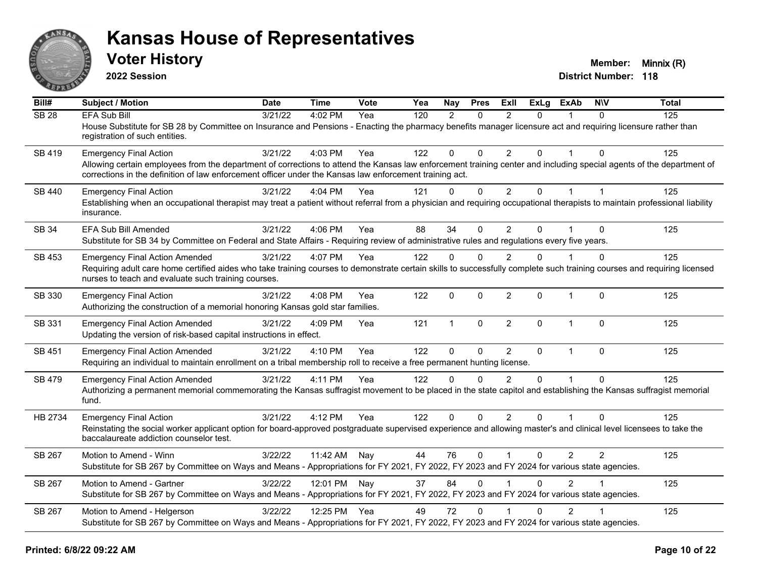

**2022 Session**

| Bill#         | <b>Subject / Motion</b>                                                                                                                                                                                                                                                         | <b>Date</b> | <b>Time</b>  | Vote | Yea | Nay          | <b>Pres</b>  | ExII           | <b>ExLg</b>  | <b>ExAb</b>    | <b>NIV</b>     | <b>Total</b> |
|---------------|---------------------------------------------------------------------------------------------------------------------------------------------------------------------------------------------------------------------------------------------------------------------------------|-------------|--------------|------|-----|--------------|--------------|----------------|--------------|----------------|----------------|--------------|
| <b>SB 28</b>  | EFA Sub Bill                                                                                                                                                                                                                                                                    | 3/21/22     | 4:02 PM      | Yea  | 120 | 2            | $\Omega$     | 2              | $\Omega$     |                | $\Omega$       | 125          |
|               | House Substitute for SB 28 by Committee on Insurance and Pensions - Enacting the pharmacy benefits manager licensure act and requiring licensure rather than<br>registration of such entities.                                                                                  |             |              |      |     |              |              |                |              |                |                |              |
| SB 419        | <b>Emergency Final Action</b>                                                                                                                                                                                                                                                   | 3/21/22     | 4:03 PM      | Yea  | 122 | $\Omega$     | $\Omega$     | $\overline{2}$ | $\Omega$     | $\overline{1}$ | $\Omega$       | 125          |
|               | Allowing certain employees from the department of corrections to attend the Kansas law enforcement training center and including special agents of the department of<br>corrections in the definition of law enforcement officer under the Kansas law enforcement training act. |             |              |      |     |              |              |                |              |                |                |              |
| <b>SB 440</b> | <b>Emergency Final Action</b>                                                                                                                                                                                                                                                   | 3/21/22     | 4:04 PM      | Yea  | 121 | $\Omega$     | $\mathbf 0$  | $\overline{2}$ | $\mathbf 0$  | $\mathbf{1}$   | $\overline{1}$ | 125          |
|               | Establishing when an occupational therapist may treat a patient without referral from a physician and requiring occupational therapists to maintain professional liability<br>insurance.                                                                                        |             |              |      |     |              |              |                |              |                |                |              |
| SB 34         | <b>EFA Sub Bill Amended</b>                                                                                                                                                                                                                                                     | 3/21/22     | 4:06 PM      | Yea  | 88  | 34           | $\Omega$     | $\overline{2}$ | $\mathbf{0}$ |                | $\Omega$       | 125          |
|               | Substitute for SB 34 by Committee on Federal and State Affairs - Requiring review of administrative rules and regulations every five years.                                                                                                                                     |             |              |      |     |              |              |                |              |                |                |              |
| SB 453        | <b>Emergency Final Action Amended</b>                                                                                                                                                                                                                                           | 3/21/22     | 4:07 PM      | Yea  | 122 | $\Omega$     | $\Omega$     | $\overline{2}$ | $\Omega$     |                | $\mathbf 0$    | 125          |
|               | Requiring adult care home certified aides who take training courses to demonstrate certain skills to successfully complete such training courses and requiring licensed<br>nurses to teach and evaluate such training courses.                                                  |             |              |      |     |              |              |                |              |                |                |              |
| SB 330        | <b>Emergency Final Action</b>                                                                                                                                                                                                                                                   | 3/21/22     | 4:08 PM      | Yea  | 122 | $\Omega$     | $\Omega$     | $\overline{2}$ | $\Omega$     | $\mathbf{1}$   | $\mathbf{0}$   | 125          |
|               | Authorizing the construction of a memorial honoring Kansas gold star families.                                                                                                                                                                                                  |             |              |      |     |              |              |                |              |                |                |              |
| SB 331        | <b>Emergency Final Action Amended</b>                                                                                                                                                                                                                                           | 3/21/22     | 4:09 PM      | Yea  | 121 | $\mathbf{1}$ | 0            | $\overline{2}$ | $\Omega$     | $\mathbf{1}$   | $\Omega$       | 125          |
|               | Updating the version of risk-based capital instructions in effect.                                                                                                                                                                                                              |             |              |      |     |              |              |                |              |                |                |              |
| SB 451        | <b>Emergency Final Action Amended</b>                                                                                                                                                                                                                                           | 3/21/22     | 4:10 PM      | Yea  | 122 | $\Omega$     | $\mathbf 0$  | $\overline{2}$ | $\Omega$     | $\mathbf{1}$   | $\mathbf{0}$   | 125          |
|               | Requiring an individual to maintain enrollment on a tribal membership roll to receive a free permanent hunting license.                                                                                                                                                         |             |              |      |     |              |              |                |              |                |                |              |
| SB 479        | <b>Emergency Final Action Amended</b>                                                                                                                                                                                                                                           | 3/21/22     | 4:11 PM      | Yea  | 122 | $\Omega$     | $\Omega$     | $\overline{2}$ | $\Omega$     |                | $\Omega$       | 125          |
|               | Authorizing a permanent memorial commemorating the Kansas suffragist movement to be placed in the state capitol and establishing the Kansas suffragist memorial                                                                                                                 |             |              |      |     |              |              |                |              |                |                |              |
|               | fund.                                                                                                                                                                                                                                                                           |             |              |      |     |              |              |                |              |                |                |              |
| HB 2734       | <b>Emergency Final Action</b>                                                                                                                                                                                                                                                   | 3/21/22     | 4:12 PM      | Yea  | 122 | $\Omega$     | $\Omega$     | $\overline{2}$ | $\Omega$     | $\overline{1}$ | $\Omega$       | 125          |
|               | Reinstating the social worker applicant option for board-approved postgraduate supervised experience and allowing master's and clinical level licensees to take the<br>baccalaureate addiction counselor test.                                                                  |             |              |      |     |              |              |                |              |                |                |              |
| SB 267        | Motion to Amend - Winn                                                                                                                                                                                                                                                          | 3/22/22     | 11:42 AM     | Nay  | 44  | 76           | $\mathbf 0$  | $\mathbf{1}$   | $\mathbf 0$  | $\overline{2}$ | 2              | 125          |
|               | Substitute for SB 267 by Committee on Ways and Means - Appropriations for FY 2021, FY 2022, FY 2023 and FY 2024 for various state agencies.                                                                                                                                     |             |              |      |     |              |              |                |              |                |                |              |
| SB 267        | Motion to Amend - Gartner                                                                                                                                                                                                                                                       | 3/22/22     | 12:01 PM Nay |      | 37  | 84           | $\Omega$     |                | $\Omega$     | $\mathcal{P}$  |                | 125          |
|               | Substitute for SB 267 by Committee on Ways and Means - Appropriations for FY 2021, FY 2022, FY 2023 and FY 2024 for various state agencies.                                                                                                                                     |             |              |      |     |              |              |                |              |                |                |              |
| SB 267        | Motion to Amend - Helgerson                                                                                                                                                                                                                                                     | 3/22/22     | 12:25 PM     | Yea  | 49  | 72           | $\mathbf{0}$ |                | 0            | $\overline{2}$ |                | 125          |
|               | Substitute for SB 267 by Committee on Ways and Means - Appropriations for FY 2021, FY 2022, FY 2023 and FY 2024 for various state agencies.                                                                                                                                     |             |              |      |     |              |              |                |              |                |                |              |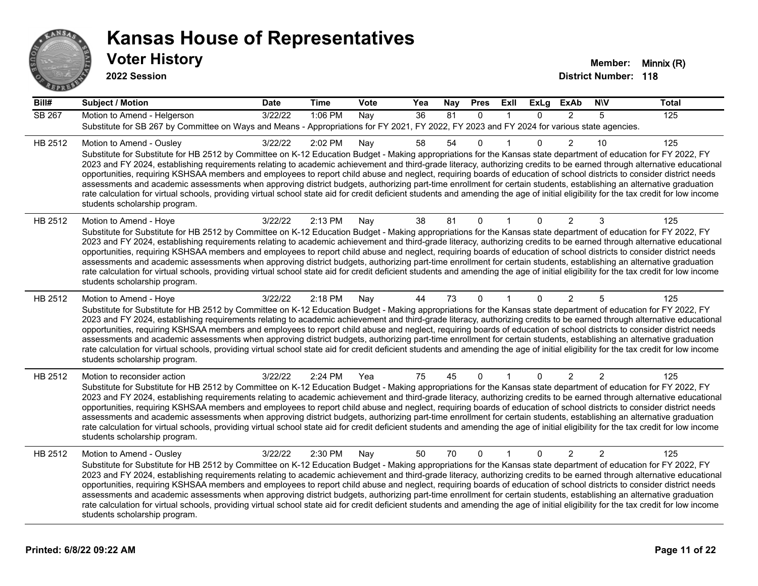

| Bill#         | <b>Subject / Motion</b>                                                                                                                                                                                                                                                                                                                                                                                                                                                                                                                                                                                                                                                                                                                                                                                                                                                                                                                             | <b>Date</b> | <b>Time</b> | Vote | Yea             | <b>Nay</b> | <b>Pres</b>  | Exll         | <b>ExLg</b>  | <b>ExAb</b>    | <b>NIV</b>     | <b>Total</b> |
|---------------|-----------------------------------------------------------------------------------------------------------------------------------------------------------------------------------------------------------------------------------------------------------------------------------------------------------------------------------------------------------------------------------------------------------------------------------------------------------------------------------------------------------------------------------------------------------------------------------------------------------------------------------------------------------------------------------------------------------------------------------------------------------------------------------------------------------------------------------------------------------------------------------------------------------------------------------------------------|-------------|-------------|------|-----------------|------------|--------------|--------------|--------------|----------------|----------------|--------------|
| <b>SB 267</b> | Motion to Amend - Helgerson<br>Substitute for SB 267 by Committee on Ways and Means - Appropriations for FY 2021, FY 2022, FY 2023 and FY 2024 for various state agencies.                                                                                                                                                                                                                                                                                                                                                                                                                                                                                                                                                                                                                                                                                                                                                                          | 3/22/22     | 1:06 PM     | Nay  | $\overline{36}$ | 81         | $\mathbf{0}$ | $\mathbf{1}$ | $\mathbf{0}$ | 2              | 5              | 125          |
| HB 2512       | Motion to Amend - Ousley<br>Substitute for Substitute for HB 2512 by Committee on K-12 Education Budget - Making appropriations for the Kansas state department of education for FY 2022, FY<br>2023 and FY 2024, establishing requirements relating to academic achievement and third-grade literacy, authorizing credits to be earned through alternative educational<br>opportunities, requiring KSHSAA members and employees to report child abuse and neglect, requiring boards of education of school districts to consider district needs<br>assessments and academic assessments when approving district budgets, authorizing part-time enrollment for certain students, establishing an alternative graduation<br>rate calculation for virtual schools, providing virtual school state aid for credit deficient students and amending the age of initial eligibility for the tax credit for low income<br>students scholarship program.    | 3/22/22     | 2:02 PM     | Nay  | 58              | 54         | $\mathbf 0$  | 1            | $\Omega$     | $\overline{2}$ | 10             | 125          |
| HB 2512       | Motion to Amend - Hoye<br>Substitute for Substitute for HB 2512 by Committee on K-12 Education Budget - Making appropriations for the Kansas state department of education for FY 2022, FY<br>2023 and FY 2024, establishing requirements relating to academic achievement and third-grade literacy, authorizing credits to be earned through alternative educational<br>opportunities, requiring KSHSAA members and employees to report child abuse and neglect, requiring boards of education of school districts to consider district needs<br>assessments and academic assessments when approving district budgets, authorizing part-time enrollment for certain students, establishing an alternative graduation<br>rate calculation for virtual schools, providing virtual school state aid for credit deficient students and amending the age of initial eligibility for the tax credit for low income<br>students scholarship program.      | 3/22/22     | 2:13 PM     | Nay  | 38              | 81         | $\mathbf 0$  | 1            | 0            | 2              | 3              | 125          |
| HB 2512       | Motion to Amend - Hoye<br>Substitute for Substitute for HB 2512 by Committee on K-12 Education Budget - Making appropriations for the Kansas state department of education for FY 2022, FY<br>2023 and FY 2024, establishing requirements relating to academic achievement and third-grade literacy, authorizing credits to be earned through alternative educational<br>opportunities, requiring KSHSAA members and employees to report child abuse and neglect, requiring boards of education of school districts to consider district needs<br>assessments and academic assessments when approving district budgets, authorizing part-time enrollment for certain students, establishing an alternative graduation<br>rate calculation for virtual schools, providing virtual school state aid for credit deficient students and amending the age of initial eligibility for the tax credit for low income<br>students scholarship program.      | 3/22/22     | 2:18 PM     | Nay  | 44              | 73         | $\mathbf 0$  |              | 0            | 2              | 5              | 125          |
| HB 2512       | Motion to reconsider action<br>Substitute for Substitute for HB 2512 by Committee on K-12 Education Budget - Making appropriations for the Kansas state department of education for FY 2022, FY<br>2023 and FY 2024, establishing requirements relating to academic achievement and third-grade literacy, authorizing credits to be earned through alternative educational<br>opportunities, requiring KSHSAA members and employees to report child abuse and neglect, requiring boards of education of school districts to consider district needs<br>assessments and academic assessments when approving district budgets, authorizing part-time enrollment for certain students, establishing an alternative graduation<br>rate calculation for virtual schools, providing virtual school state aid for credit deficient students and amending the age of initial eligibility for the tax credit for low income<br>students scholarship program. | 3/22/22     | 2:24 PM     | Yea  | 75              | 45         | 0            |              | $\mathbf{0}$ | $\overline{2}$ | 2              | 125          |
| HB 2512       | Motion to Amend - Ousley<br>Substitute for Substitute for HB 2512 by Committee on K-12 Education Budget - Making appropriations for the Kansas state department of education for FY 2022, FY<br>2023 and FY 2024, establishing requirements relating to academic achievement and third-grade literacy, authorizing credits to be earned through alternative educational<br>opportunities, requiring KSHSAA members and employees to report child abuse and neglect, requiring boards of education of school districts to consider district needs<br>assessments and academic assessments when approving district budgets, authorizing part-time enrollment for certain students, establishing an alternative graduation<br>rate calculation for virtual schools, providing virtual school state aid for credit deficient students and amending the age of initial eligibility for the tax credit for low income<br>students scholarship program.    | 3/22/22     | 2:30 PM     | Nay  | 50              | 70         | $\mathbf{0}$ | $\mathbf 1$  | $\Omega$     | $\overline{2}$ | $\overline{2}$ | 125          |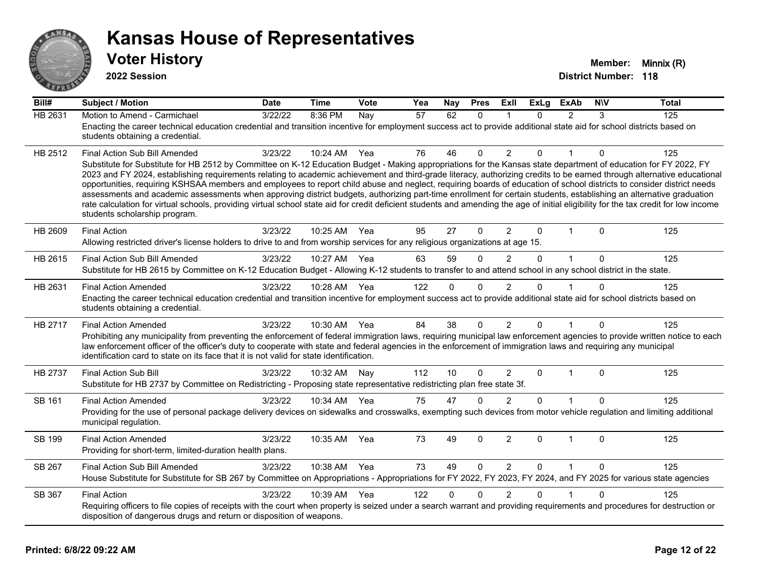

| Bill#   | <b>Subject / Motion</b>                                                                                                                                                                                                                                                                                                                                                                                                                                                                                                                                                                                                                                                                                                                                                                                                                                                                                                                               | <b>Date</b> | <b>Time</b> | Vote | Yea | <b>Nay</b>  | <b>Pres</b>  | ExIl           | <b>ExLg</b> | <b>ExAb</b>    | <b>NIV</b>  | <b>Total</b> |
|---------|-------------------------------------------------------------------------------------------------------------------------------------------------------------------------------------------------------------------------------------------------------------------------------------------------------------------------------------------------------------------------------------------------------------------------------------------------------------------------------------------------------------------------------------------------------------------------------------------------------------------------------------------------------------------------------------------------------------------------------------------------------------------------------------------------------------------------------------------------------------------------------------------------------------------------------------------------------|-------------|-------------|------|-----|-------------|--------------|----------------|-------------|----------------|-------------|--------------|
| HB 2631 | Motion to Amend - Carmichael<br>Enacting the career technical education credential and transition incentive for employment success act to provide additional state aid for school districts based on<br>students obtaining a credential.                                                                                                                                                                                                                                                                                                                                                                                                                                                                                                                                                                                                                                                                                                              | 3/22/22     | 8:36 PM     | Nay  | 57  | 62          | $\mathbf{0}$ | -1             | $\Omega$    | $\overline{2}$ | 3           | 125          |
| HB 2512 | Final Action Sub Bill Amended<br>Substitute for Substitute for HB 2512 by Committee on K-12 Education Budget - Making appropriations for the Kansas state department of education for FY 2022, FY<br>2023 and FY 2024, establishing requirements relating to academic achievement and third-grade literacy, authorizing credits to be earned through alternative educational<br>opportunities, requiring KSHSAA members and employees to report child abuse and neglect, requiring boards of education of school districts to consider district needs<br>assessments and academic assessments when approving district budgets, authorizing part-time enrollment for certain students, establishing an alternative graduation<br>rate calculation for virtual schools, providing virtual school state aid for credit deficient students and amending the age of initial eligibility for the tax credit for low income<br>students scholarship program. | 3/23/22     | 10:24 AM    | Yea  | 76  | 46          | $\mathbf 0$  | 2              | 0           |                | 0           | 125          |
| HB 2609 | <b>Final Action</b><br>Allowing restricted driver's license holders to drive to and from worship services for any religious organizations at age 15.                                                                                                                                                                                                                                                                                                                                                                                                                                                                                                                                                                                                                                                                                                                                                                                                  | 3/23/22     | 10:25 AM    | Yea  | 95  | 27          | 0            | $\overline{2}$ | $\Omega$    | $\mathbf{1}$   | $\mathbf 0$ | 125          |
| HB 2615 | Final Action Sub Bill Amended<br>Substitute for HB 2615 by Committee on K-12 Education Budget - Allowing K-12 students to transfer to and attend school in any school district in the state.                                                                                                                                                                                                                                                                                                                                                                                                                                                                                                                                                                                                                                                                                                                                                          | 3/23/22     | 10:27 AM    | Yea  | 63  | 59          | $\Omega$     | 2              | $\Omega$    | $\mathbf{1}$   | $\Omega$    | 125          |
| HB 2631 | <b>Final Action Amended</b><br>Enacting the career technical education credential and transition incentive for employment success act to provide additional state aid for school districts based on<br>students obtaining a credential.                                                                                                                                                                                                                                                                                                                                                                                                                                                                                                                                                                                                                                                                                                               | 3/23/22     | 10:28 AM    | Yea  | 122 | $\mathbf 0$ | $\mathbf{0}$ | $\overline{2}$ | $\Omega$    |                | $\Omega$    | 125          |
| HB 2717 | <b>Final Action Amended</b><br>Prohibiting any municipality from preventing the enforcement of federal immigration laws, requiring municipal law enforcement agencies to provide written notice to each<br>law enforcement officer of the officer's duty to cooperate with state and federal agencies in the enforcement of immigration laws and requiring any municipal<br>identification card to state on its face that it is not valid for state identification.                                                                                                                                                                                                                                                                                                                                                                                                                                                                                   | 3/23/22     | 10:30 AM    | Yea  | 84  | 38          | $\mathbf{0}$ | $\overline{2}$ | $\Omega$    |                | $\Omega$    | 125          |
| HB 2737 | <b>Final Action Sub Bill</b><br>Substitute for HB 2737 by Committee on Redistricting - Proposing state representative redistricting plan free state 3f.                                                                                                                                                                                                                                                                                                                                                                                                                                                                                                                                                                                                                                                                                                                                                                                               | 3/23/22     | 10:32 AM    | Nay  | 112 | 10          | $\mathbf{0}$ | $\overline{2}$ | $\Omega$    | $\mathbf{1}$   | $\Omega$    | 125          |
| SB 161  | <b>Final Action Amended</b><br>Providing for the use of personal package delivery devices on sidewalks and crosswalks, exempting such devices from motor vehicle regulation and limiting additional<br>municipal regulation.                                                                                                                                                                                                                                                                                                                                                                                                                                                                                                                                                                                                                                                                                                                          | 3/23/22     | 10:34 AM    | Yea  | 75  | 47          | $\mathbf{0}$ | 2              | $\Omega$    |                | $\Omega$    | 125          |
| SB 199  | <b>Final Action Amended</b><br>Providing for short-term, limited-duration health plans.                                                                                                                                                                                                                                                                                                                                                                                                                                                                                                                                                                                                                                                                                                                                                                                                                                                               | 3/23/22     | 10:35 AM    | Yea  | 73  | 49          | $\Omega$     | $\overline{2}$ | $\Omega$    | $\overline{1}$ | $\Omega$    | 125          |
| SB 267  | Final Action Sub Bill Amended<br>House Substitute for Substitute for SB 267 by Committee on Appropriations - Appropriations for FY 2022, FY 2023, FY 2024, and FY 2025 for various state agencies                                                                                                                                                                                                                                                                                                                                                                                                                                                                                                                                                                                                                                                                                                                                                     | 3/23/22     | 10:38 AM    | Yea  | 73  | 49          | $\Omega$     | $\overline{2}$ | $\Omega$    |                | $\Omega$    | 125          |
| SB 367  | <b>Final Action</b><br>Requiring officers to file copies of receipts with the court when property is seized under a search warrant and providing requirements and procedures for destruction or<br>disposition of dangerous drugs and return or disposition of weapons.                                                                                                                                                                                                                                                                                                                                                                                                                                                                                                                                                                                                                                                                               | 3/23/22     | 10:39 AM    | Yea  | 122 | $\Omega$    | $\Omega$     | $\overline{2}$ | $\Omega$    |                | $\Omega$    | 125          |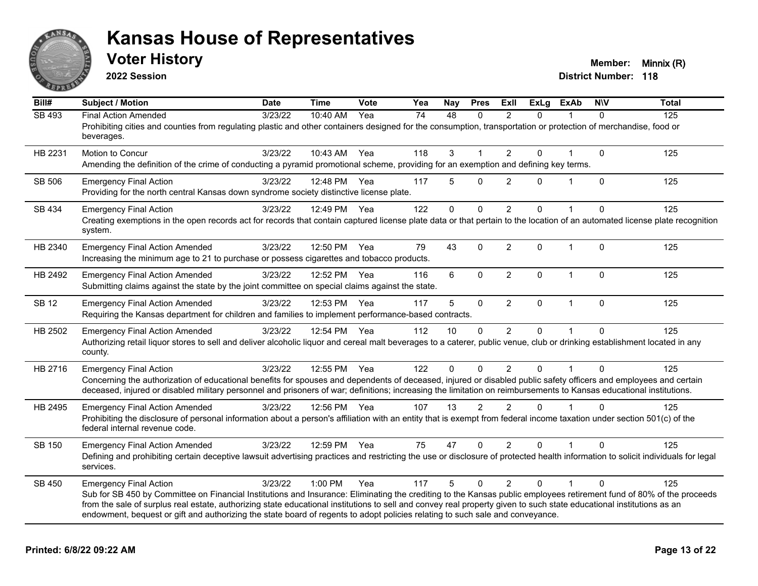

**2022 Session**

| Bill#        | <b>Subject / Motion</b>                                                                                                                                                                                                                                                                                                                                                                                                                                                                                        | <b>Date</b> | <b>Time</b>  | <b>Vote</b> | Yea             | Nay          | <b>Pres</b>  | <b>Exll</b>    | <b>ExLg</b> | <b>ExAb</b>  | N/V          | <b>Total</b> |
|--------------|----------------------------------------------------------------------------------------------------------------------------------------------------------------------------------------------------------------------------------------------------------------------------------------------------------------------------------------------------------------------------------------------------------------------------------------------------------------------------------------------------------------|-------------|--------------|-------------|-----------------|--------------|--------------|----------------|-------------|--------------|--------------|--------------|
| SB 493       | <b>Final Action Amended</b><br>Prohibiting cities and counties from regulating plastic and other containers designed for the consumption, transportation or protection of merchandise, food or<br>beverages.                                                                                                                                                                                                                                                                                                   | 3/23/22     | 10:40 AM     | Yea         | $\overline{74}$ | 48           | $\Omega$     | $\mathfrak{p}$ | $\Omega$    |              | $\Omega$     | 125          |
| HB 2231      | Motion to Concur<br>Amending the definition of the crime of conducting a pyramid promotional scheme, providing for an exemption and defining key terms.                                                                                                                                                                                                                                                                                                                                                        | 3/23/22     | 10:43 AM     | Yea         | 118             | 3            | $\mathbf{1}$ | $\overline{2}$ | 0           |              | $\mathbf{0}$ | 125          |
| SB 506       | <b>Emergency Final Action</b><br>Providing for the north central Kansas down syndrome society distinctive license plate.                                                                                                                                                                                                                                                                                                                                                                                       | 3/23/22     | 12:48 PM     | Yea         | 117             | 5            | $\Omega$     | 2              | $\Omega$    | 1            | $\Omega$     | 125          |
| SB 434       | <b>Emergency Final Action</b><br>Creating exemptions in the open records act for records that contain captured license plate data or that pertain to the location of an automated license plate recognition<br>system.                                                                                                                                                                                                                                                                                         | 3/23/22     | 12:49 PM     | Yea         | 122             | $\mathbf{0}$ | $\Omega$     | 2              | $\Omega$    |              | $\Omega$     | 125          |
| HB 2340      | <b>Emergency Final Action Amended</b><br>Increasing the minimum age to 21 to purchase or possess cigarettes and tobacco products.                                                                                                                                                                                                                                                                                                                                                                              | 3/23/22     | 12:50 PM     | Yea         | 79              | 43           | $\mathbf{0}$ | 2              | $\Omega$    | $\mathbf{1}$ | $\Omega$     | 125          |
| HB 2492      | <b>Emergency Final Action Amended</b><br>Submitting claims against the state by the joint committee on special claims against the state.                                                                                                                                                                                                                                                                                                                                                                       | 3/23/22     | 12:52 PM     | Yea         | 116             | 6            | $\mathbf 0$  | $\overline{2}$ | 0           | $\mathbf{1}$ | $\mathbf{0}$ | 125          |
| <b>SB 12</b> | <b>Emergency Final Action Amended</b><br>Requiring the Kansas department for children and families to implement performance-based contracts.                                                                                                                                                                                                                                                                                                                                                                   | 3/23/22     | 12:53 PM     | Yea         | 117             | 5            | $\mathbf{0}$ | $\overline{2}$ | $\Omega$    | $\mathbf{1}$ | $\mathbf{0}$ | 125          |
| HB 2502      | <b>Emergency Final Action Amended</b><br>Authorizing retail liquor stores to sell and deliver alcoholic liquor and cereal malt beverages to a caterer, public venue, club or drinking establishment located in any<br>county.                                                                                                                                                                                                                                                                                  | 3/23/22     | 12:54 PM Yea |             | 112             | 10           | $\mathbf 0$  | $\overline{2}$ | $\Omega$    |              | $\Omega$     | 125          |
| HB 2716      | <b>Emergency Final Action</b><br>Concerning the authorization of educational benefits for spouses and dependents of deceased, injured or disabled public safety officers and employees and certain<br>deceased, injured or disabled military personnel and prisoners of war; definitions; increasing the limitation on reimbursements to Kansas educational institutions.                                                                                                                                      | 3/23/22     | 12:55 PM     | Yea         | 122             | $\mathbf{0}$ | $\Omega$     | $\overline{2}$ | $\Omega$    |              | $\Omega$     | 125          |
| HB 2495      | <b>Emergency Final Action Amended</b><br>Prohibiting the disclosure of personal information about a person's affiliation with an entity that is exempt from federal income taxation under section 501(c) of the<br>federal internal revenue code.                                                                                                                                                                                                                                                              | 3/23/22     | 12:56 PM Yea |             | 107             | 13           | 2            | $\mathfrak{p}$ | $\Omega$    |              | $\Omega$     | 125          |
| SB 150       | <b>Emergency Final Action Amended</b><br>Defining and prohibiting certain deceptive lawsuit advertising practices and restricting the use or disclosure of protected health information to solicit individuals for legal<br>services.                                                                                                                                                                                                                                                                          | 3/23/22     | 12:59 PM     | Yea         | 75              | 47           | $\Omega$     | 2              | $\Omega$    | 1            | $\Omega$     | 125          |
| SB 450       | <b>Emergency Final Action</b><br>Sub for SB 450 by Committee on Financial Institutions and Insurance: Eliminating the crediting to the Kansas public employees retirement fund of 80% of the proceeds<br>from the sale of surplus real estate, authorizing state educational institutions to sell and convey real property given to such state educational institutions as an<br>endowment, bequest or gift and authorizing the state board of regents to adopt policies relating to such sale and conveyance. | 3/23/22     | $1:00$ PM    | Yea         | 117             | 5            | $\Omega$     | $\mathcal{P}$  | $\Omega$    | 1            | $\Omega$     | 125          |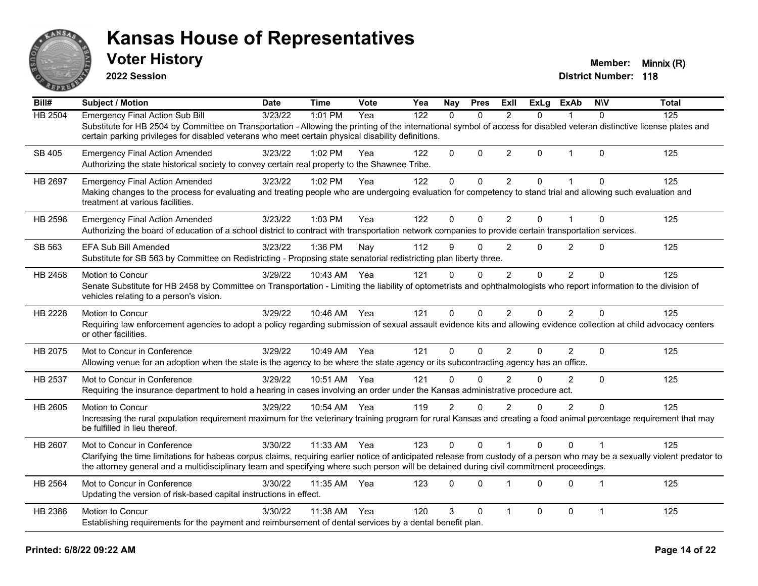

**2022 Session**

| Bill#          | <b>Subject / Motion</b>                                                                                                                                                                                                                                                                                                  | <b>Date</b> | <b>Time</b> | Vote | Yea | <b>Nay</b>     | <b>Pres</b>  | ExII           | <b>ExLg</b> | <b>ExAb</b>    | <b>NIV</b>              | <b>Total</b> |
|----------------|--------------------------------------------------------------------------------------------------------------------------------------------------------------------------------------------------------------------------------------------------------------------------------------------------------------------------|-------------|-------------|------|-----|----------------|--------------|----------------|-------------|----------------|-------------------------|--------------|
| <b>HB 2504</b> | <b>Emergency Final Action Sub Bill</b>                                                                                                                                                                                                                                                                                   | 3/23/22     | 1:01 PM     | Yea  | 122 | $\Omega$       | $\mathbf{0}$ | $\mathcal{P}$  | $\Omega$    | 1              | $\mathbf{0}$            | 125          |
|                | Substitute for HB 2504 by Committee on Transportation - Allowing the printing of the international symbol of access for disabled veteran distinctive license plates and<br>certain parking privileges for disabled veterans who meet certain physical disability definitions.                                            |             |             |      |     |                |              |                |             |                |                         |              |
| SB 405         | <b>Emergency Final Action Amended</b>                                                                                                                                                                                                                                                                                    | 3/23/22     | 1:02 PM     | Yea  | 122 | $\Omega$       | $\Omega$     | $\overline{2}$ | $\Omega$    | $\mathbf 1$    | $\Omega$                | 125          |
|                | Authorizing the state historical society to convey certain real property to the Shawnee Tribe.                                                                                                                                                                                                                           |             |             |      |     |                |              |                |             |                |                         |              |
| HB 2697        | <b>Emergency Final Action Amended</b>                                                                                                                                                                                                                                                                                    | 3/23/22     | 1:02 PM     | Yea  | 122 | $\mathbf 0$    | $\mathbf{0}$ | $\overline{2}$ | 0           | $\overline{1}$ | $\Omega$                | 125          |
|                | Making changes to the process for evaluating and treating people who are undergoing evaluation for competency to stand trial and allowing such evaluation and<br>treatment at various facilities.                                                                                                                        |             |             |      |     |                |              |                |             |                |                         |              |
| HB 2596        | <b>Emergency Final Action Amended</b>                                                                                                                                                                                                                                                                                    | 3/23/22     | $1:03$ PM   | Yea  | 122 | $\Omega$       | $\Omega$     | $\overline{2}$ | $\Omega$    |                | $\Omega$                | 125          |
|                | Authorizing the board of education of a school district to contract with transportation network companies to provide certain transportation services.                                                                                                                                                                    |             |             |      |     |                |              |                |             |                |                         |              |
| SB 563         | EFA Sub Bill Amended                                                                                                                                                                                                                                                                                                     | 3/23/22     | 1:36 PM     | Nay  | 112 | 9              | $\mathbf{0}$ | $\overline{2}$ | $\Omega$    | $\overline{2}$ | $\Omega$                | 125          |
|                | Substitute for SB 563 by Committee on Redistricting - Proposing state senatorial redistricting plan liberty three.                                                                                                                                                                                                       |             |             |      |     |                |              |                |             |                |                         |              |
| HB 2458        | Motion to Concur                                                                                                                                                                                                                                                                                                         | 3/29/22     | 10:43 AM    | Yea  | 121 | $\Omega$       | $\Omega$     | 2              | $\Omega$    | 2              | $\Omega$                | 125          |
|                | Senate Substitute for HB 2458 by Committee on Transportation - Limiting the liability of optometrists and ophthalmologists who report information to the division of<br>vehicles relating to a person's vision.                                                                                                          |             |             |      |     |                |              |                |             |                |                         |              |
| HB 2228        | Motion to Concur                                                                                                                                                                                                                                                                                                         | 3/29/22     | 10:46 AM    | Yea  | 121 | $\mathbf{0}$   | $\Omega$     | 2              | 0           | 2              | $\Omega$                | 125          |
|                | Requiring law enforcement agencies to adopt a policy regarding submission of sexual assault evidence kits and allowing evidence collection at child advocacy centers<br>or other facilities.                                                                                                                             |             |             |      |     |                |              |                |             |                |                         |              |
| HB 2075        | Mot to Concur in Conference                                                                                                                                                                                                                                                                                              | 3/29/22     | 10:49 AM    | Yea  | 121 | $\Omega$       | $\mathbf{0}$ | $\overline{2}$ | 0           | $\overline{2}$ | $\mathbf{0}$            | 125          |
|                | Allowing venue for an adoption when the state is the agency to be where the state agency or its subcontracting agency has an office.                                                                                                                                                                                     |             |             |      |     |                |              |                |             |                |                         |              |
| HB 2537        | Mot to Concur in Conference                                                                                                                                                                                                                                                                                              | 3/29/22     | 10:51 AM    | Yea  | 121 | $\Omega$       | $\Omega$     | $\mathfrak{p}$ | $\Omega$    | $\mathcal{P}$  | $\Omega$                | 125          |
|                | Requiring the insurance department to hold a hearing in cases involving an order under the Kansas administrative procedure act.                                                                                                                                                                                          |             |             |      |     |                |              |                |             |                |                         |              |
| HB 2605        | Motion to Concur                                                                                                                                                                                                                                                                                                         | 3/29/22     | 10:54 AM    | Yea  | 119 | $\overline{2}$ | $\Omega$     | $\overline{2}$ | 0           | $\overline{2}$ | $\Omega$                | 125          |
|                | Increasing the rural population requirement maximum for the veterinary training program for rural Kansas and creating a food animal percentage requirement that may<br>be fulfilled in lieu thereof.                                                                                                                     |             |             |      |     |                |              |                |             |                |                         |              |
| HB 2607        | Mot to Concur in Conference                                                                                                                                                                                                                                                                                              | 3/30/22     | 11:33 AM    | Yea  | 123 | $\mathbf{0}$   | $\Omega$     |                | $\Omega$    | $\Omega$       |                         | 125          |
|                | Clarifying the time limitations for habeas corpus claims, requiring earlier notice of anticipated release from custody of a person who may be a sexually violent predator to<br>the attorney general and a multidisciplinary team and specifying where such person will be detained during civil commitment proceedings. |             |             |      |     |                |              |                |             |                |                         |              |
| HB 2564        | Mot to Concur in Conference                                                                                                                                                                                                                                                                                              | 3/30/22     | 11:35 AM    | Yea  | 123 | $\Omega$       | $\Omega$     |                | $\Omega$    | $\Omega$       | $\overline{\mathbf{1}}$ | 125          |
|                | Updating the version of risk-based capital instructions in effect.                                                                                                                                                                                                                                                       |             |             |      |     |                |              |                |             |                |                         |              |
| HB 2386        | Motion to Concur                                                                                                                                                                                                                                                                                                         | 3/30/22     | 11:38 AM    | Yea  | 120 | 3              | $\Omega$     | $\mathbf 1$    | $\Omega$    | $\mathbf 0$    | $\mathbf 1$             | 125          |
|                | Establishing requirements for the payment and reimbursement of dental services by a dental benefit plan.                                                                                                                                                                                                                 |             |             |      |     |                |              |                |             |                |                         |              |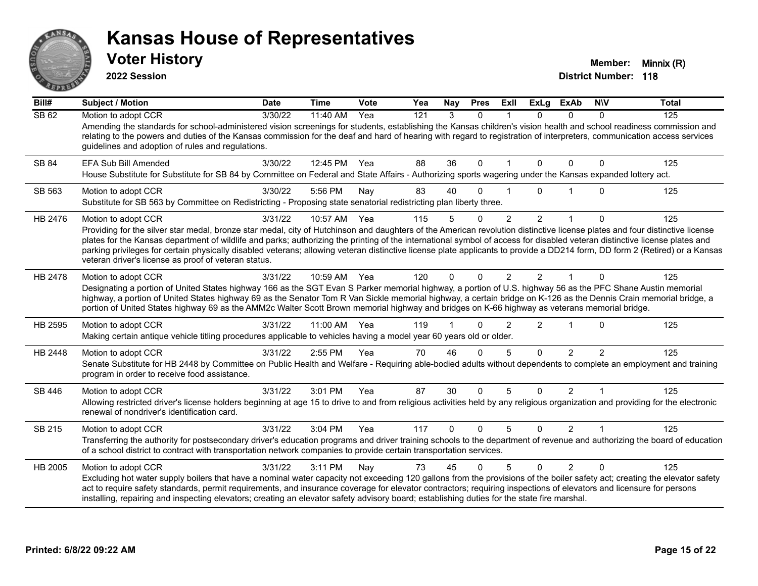

**2022 Session**

| Bill#        | <b>Subject / Motion</b>                                                                                                                                                                                                                                                                                                                                                                                                                                                                                                                                                                                                 | <b>Date</b> | <b>Time</b> | Vote | Yea | Nay      | <b>Pres</b>  | ExII                 | <b>ExLg</b>    | <b>ExAb</b>    | <b>NIV</b>     | <b>Total</b> |
|--------------|-------------------------------------------------------------------------------------------------------------------------------------------------------------------------------------------------------------------------------------------------------------------------------------------------------------------------------------------------------------------------------------------------------------------------------------------------------------------------------------------------------------------------------------------------------------------------------------------------------------------------|-------------|-------------|------|-----|----------|--------------|----------------------|----------------|----------------|----------------|--------------|
| <b>SB 62</b> | Motion to adopt CCR<br>Amending the standards for school-administered vision screenings for students, establishing the Kansas children's vision health and school readiness commission and<br>relating to the powers and duties of the Kansas commission for the deaf and hard of hearing with regard to registration of interpreters, communication access services<br>guidelines and adoption of rules and regulations.                                                                                                                                                                                               | 3/30/22     | 11:40 AM    | Yea  | 121 | 3        | $\Omega$     |                      | $\Omega$       | $\Omega$       | $\Omega$       | 125          |
| SB 84        | EFA Sub Bill Amended<br>House Substitute for Substitute for SB 84 by Committee on Federal and State Affairs - Authorizing sports wagering under the Kansas expanded lottery act.                                                                                                                                                                                                                                                                                                                                                                                                                                        | 3/30/22     | 12:45 PM    | Yea  | 88  | 36       | $\mathbf{0}$ | $\blacktriangleleft$ | $\Omega$       | $\Omega$       | $\Omega$       | 125          |
| SB 563       | Motion to adopt CCR<br>Substitute for SB 563 by Committee on Redistricting - Proposing state senatorial redistricting plan liberty three.                                                                                                                                                                                                                                                                                                                                                                                                                                                                               | 3/30/22     | 5:56 PM     | Nay  | 83  | 40       | $\Omega$     |                      | 0              |                | $\Omega$       | 125          |
| HB 2476      | Motion to adopt CCR<br>Providing for the silver star medal, bronze star medal, city of Hutchinson and daughters of the American revolution distinctive license plates and four distinctive license<br>plates for the Kansas department of wildlife and parks; authorizing the printing of the international symbol of access for disabled veteran distinctive license plates and<br>parking privileges for certain physically disabled veterans; allowing veteran distinctive license plate applicants to provide a DD214 form, DD form 2 (Retired) or a Kansas<br>veteran driver's license as proof of veteran status. | 3/31/22     | 10:57 AM    | Yea  | 115 | 5        | $\mathbf{0}$ | $\overline{2}$       | $\overline{2}$ | 1              | $\Omega$       | 125          |
| HB 2478      | Motion to adopt CCR<br>Designating a portion of United States highway 166 as the SGT Evan S Parker memorial highway, a portion of U.S. highway 56 as the PFC Shane Austin memorial<br>highway, a portion of United States highway 69 as the Senator Tom R Van Sickle memorial highway, a certain bridge on K-126 as the Dennis Crain memorial bridge, a<br>portion of United States highway 69 as the AMM2c Walter Scott Brown memorial highway and bridges on K-66 highway as veterans memorial bridge.                                                                                                                | 3/31/22     | 10:59 AM    | Yea  | 120 | 0        | $\Omega$     | $\mathcal{P}$        | $\mathcal{P}$  |                | $\Omega$       | 125          |
| HB 2595      | Motion to adopt CCR<br>Making certain antique vehicle titling procedures applicable to vehicles having a model year 60 years old or older.                                                                                                                                                                                                                                                                                                                                                                                                                                                                              | 3/31/22     | 11:00 AM    | Yea  | 119 |          | $\Omega$     | 2                    | 2              |                | $\Omega$       | 125          |
| HB 2448      | Motion to adopt CCR<br>Senate Substitute for HB 2448 by Committee on Public Health and Welfare - Requiring able-bodied adults without dependents to complete an employment and training<br>program in order to receive food assistance.                                                                                                                                                                                                                                                                                                                                                                                 | 3/31/22     | 2:55 PM     | Yea  | 70  | 46       | $\Omega$     | 5                    | $\Omega$       | $\mathcal{P}$  | $\mathfrak{p}$ | 125          |
| SB 446       | Motion to adopt CCR<br>Allowing restricted driver's license holders beginning at age 15 to drive to and from religious activities held by any religious organization and providing for the electronic<br>renewal of nondriver's identification card.                                                                                                                                                                                                                                                                                                                                                                    | 3/31/22     | 3:01 PM     | Yea  | 87  | 30       | $\mathbf{0}$ | 5                    | $\Omega$       | $\overline{2}$ | 1              | 125          |
| SB 215       | Motion to adopt CCR<br>Transferring the authority for postsecondary driver's education programs and driver training schools to the department of revenue and authorizing the board of education<br>of a school district to contract with transportation network companies to provide certain transportation services.                                                                                                                                                                                                                                                                                                   | 3/31/22     | 3:04 PM     | Yea  | 117 | $\Omega$ | $\Omega$     | 5                    | $\Omega$       | $\overline{2}$ | $\mathbf 1$    | 125          |
| HB 2005      | Motion to adopt CCR<br>Excluding hot water supply boilers that have a nominal water capacity not exceeding 120 gallons from the provisions of the boiler safety act; creating the elevator safety<br>act to require safety standards, permit requirements, and insurance coverage for elevator contractors; requiring inspections of elevators and licensure for persons<br>installing, repairing and inspecting elevators; creating an elevator safety advisory board; establishing duties for the state fire marshal.                                                                                                 | 3/31/22     | 3:11 PM     | Nay  | 73  | 45       | $\Omega$     | 5                    | $\Omega$       | $\overline{2}$ | $\Omega$       | 125          |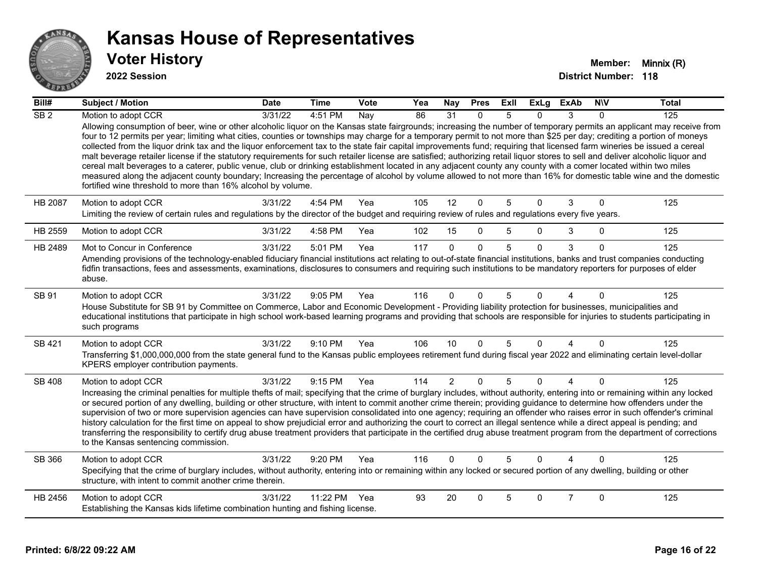

| Bill#           | <b>Subject / Motion</b>                                                                                                                                                                                                                                                                                                                                                                                                                                                                                                                                                                                                                                                                                                                                                                                                                                                                                                                                                                                                                                                                                                   | <b>Date</b> | <b>Time</b> | Vote | Yea | <b>Nay</b>     | <b>Pres</b>  | ExII            | <b>ExLg</b> | <b>ExAb</b>    | <b>NIV</b>   | <b>Total</b> |
|-----------------|---------------------------------------------------------------------------------------------------------------------------------------------------------------------------------------------------------------------------------------------------------------------------------------------------------------------------------------------------------------------------------------------------------------------------------------------------------------------------------------------------------------------------------------------------------------------------------------------------------------------------------------------------------------------------------------------------------------------------------------------------------------------------------------------------------------------------------------------------------------------------------------------------------------------------------------------------------------------------------------------------------------------------------------------------------------------------------------------------------------------------|-------------|-------------|------|-----|----------------|--------------|-----------------|-------------|----------------|--------------|--------------|
| SB <sub>2</sub> | Motion to adopt CCR                                                                                                                                                                                                                                                                                                                                                                                                                                                                                                                                                                                                                                                                                                                                                                                                                                                                                                                                                                                                                                                                                                       | 3/31/22     | 4:51 PM     | Nay  | 86  | 31             | $\Omega$     | 5               | $\Omega$    | 3              | $\Omega$     | 125          |
|                 | Allowing consumption of beer, wine or other alcoholic liquor on the Kansas state fairgrounds; increasing the number of temporary permits an applicant may receive from<br>four to 12 permits per year; limiting what cities, counties or townships may charge for a temporary permit to not more than \$25 per day; crediting a portion of moneys<br>collected from the liquor drink tax and the liquor enforcement tax to the state fair capital improvements fund; requiring that licensed farm wineries be issued a cereal<br>malt beverage retailer license if the statutory requirements for such retailer license are satisfied; authorizing retail liquor stores to sell and deliver alcoholic liquor and<br>cereal malt beverages to a caterer, public venue, club or drinking establishment located in any adjacent county any county with a comer located within two miles<br>measured along the adjacent county boundary; Increasing the percentage of alcohol by volume allowed to not more than 16% for domestic table wine and the domestic<br>fortified wine threshold to more than 16% alcohol by volume. |             |             |      |     |                |              |                 |             |                |              |              |
| HB 2087         | Motion to adopt CCR                                                                                                                                                                                                                                                                                                                                                                                                                                                                                                                                                                                                                                                                                                                                                                                                                                                                                                                                                                                                                                                                                                       | 3/31/22     | 4:54 PM     | Yea  | 105 | 12             | $\mathbf 0$  | $5\phantom{.0}$ | $\Omega$    | 3              | $\mathbf{0}$ | 125          |
|                 | Limiting the review of certain rules and regulations by the director of the budget and requiring review of rules and regulations every five years.                                                                                                                                                                                                                                                                                                                                                                                                                                                                                                                                                                                                                                                                                                                                                                                                                                                                                                                                                                        |             |             |      |     |                |              |                 |             |                |              |              |
| HB 2559         | Motion to adopt CCR                                                                                                                                                                                                                                                                                                                                                                                                                                                                                                                                                                                                                                                                                                                                                                                                                                                                                                                                                                                                                                                                                                       | 3/31/22     | 4:58 PM     | Yea  | 102 | 15             | $\mathbf 0$  | 5               | $\Omega$    | 3              | $\Omega$     | 125          |
| HB 2489         | Mot to Concur in Conference                                                                                                                                                                                                                                                                                                                                                                                                                                                                                                                                                                                                                                                                                                                                                                                                                                                                                                                                                                                                                                                                                               | 3/31/22     | 5:01 PM     | Yea  | 117 | $\Omega$       | $\mathbf{0}$ | 5               | $\Omega$    | 3              | $\mathbf{0}$ | 125          |
|                 | Amending provisions of the technology-enabled fiduciary financial institutions act relating to out-of-state financial institutions, banks and trust companies conducting<br>fidfin transactions, fees and assessments, examinations, disclosures to consumers and requiring such institutions to be mandatory reporters for purposes of elder<br>abuse.                                                                                                                                                                                                                                                                                                                                                                                                                                                                                                                                                                                                                                                                                                                                                                   |             |             |      |     |                |              |                 |             |                |              |              |
| SB 91           | Motion to adopt CCR                                                                                                                                                                                                                                                                                                                                                                                                                                                                                                                                                                                                                                                                                                                                                                                                                                                                                                                                                                                                                                                                                                       | 3/31/22     | 9:05 PM     | Yea  | 116 | $\Omega$       | $\Omega$     | 5               | 0           |                | $\mathbf{0}$ | 125          |
|                 | House Substitute for SB 91 by Committee on Commerce, Labor and Economic Development - Providing liability protection for businesses, municipalities and<br>educational institutions that participate in high school work-based learning programs and providing that schools are responsible for injuries to students participating in<br>such programs                                                                                                                                                                                                                                                                                                                                                                                                                                                                                                                                                                                                                                                                                                                                                                    |             |             |      |     |                |              |                 |             |                |              |              |
| SB 421          | Motion to adopt CCR                                                                                                                                                                                                                                                                                                                                                                                                                                                                                                                                                                                                                                                                                                                                                                                                                                                                                                                                                                                                                                                                                                       | 3/31/22     | 9:10 PM     | Yea  | 106 | 10             | $\mathbf 0$  | 5               | $\Omega$    | $\overline{4}$ | $\mathbf{0}$ | 125          |
|                 | Transferring \$1,000,000,000 from the state general fund to the Kansas public employees retirement fund during fiscal year 2022 and eliminating certain level-dollar<br>KPERS employer contribution payments.                                                                                                                                                                                                                                                                                                                                                                                                                                                                                                                                                                                                                                                                                                                                                                                                                                                                                                             |             |             |      |     |                |              |                 |             |                |              |              |
| <b>SB 408</b>   | Motion to adopt CCR                                                                                                                                                                                                                                                                                                                                                                                                                                                                                                                                                                                                                                                                                                                                                                                                                                                                                                                                                                                                                                                                                                       | 3/31/22     | 9:15 PM     | Yea  | 114 | $\overline{2}$ | $\mathbf{0}$ | 5               | $\Omega$    | $\overline{4}$ | $\Omega$     | 125          |
|                 | Increasing the criminal penalties for multiple thefts of mail; specifying that the crime of burglary includes, without authority, entering into or remaining within any locked<br>or secured portion of any dwelling, building or other structure, with intent to commit another crime therein; providing quidance to determine how offenders under the<br>supervision of two or more supervision agencies can have supervision consolidated into one agency; requiring an offender who raises error in such offender's criminal<br>history calculation for the first time on appeal to show prejudicial error and authorizing the court to correct an illegal sentence while a direct appeal is pending; and<br>transferring the responsibility to certify drug abuse treatment providers that participate in the certified drug abuse treatment program from the department of corrections<br>to the Kansas sentencing commission.                                                                                                                                                                                      |             |             |      |     |                |              |                 |             |                |              |              |
| SB 366          | Motion to adopt CCR                                                                                                                                                                                                                                                                                                                                                                                                                                                                                                                                                                                                                                                                                                                                                                                                                                                                                                                                                                                                                                                                                                       | 3/31/22     | 9:20 PM     | Yea  | 116 | $\Omega$       | $\Omega$     | 5               | $\Omega$    | 4              | $\Omega$     | 125          |
|                 | Specifying that the crime of burglary includes, without authority, entering into or remaining within any locked or secured portion of any dwelling, building or other<br>structure, with intent to commit another crime therein.                                                                                                                                                                                                                                                                                                                                                                                                                                                                                                                                                                                                                                                                                                                                                                                                                                                                                          |             |             |      |     |                |              |                 |             |                |              |              |
| HB 2456         | Motion to adopt CCR                                                                                                                                                                                                                                                                                                                                                                                                                                                                                                                                                                                                                                                                                                                                                                                                                                                                                                                                                                                                                                                                                                       | 3/31/22     | 11:22 PM    | Yea  | 93  | 20             | $\Omega$     | 5               | $\Omega$    | $\overline{7}$ | $\mathbf{0}$ | 125          |
|                 | Establishing the Kansas kids lifetime combination hunting and fishing license.                                                                                                                                                                                                                                                                                                                                                                                                                                                                                                                                                                                                                                                                                                                                                                                                                                                                                                                                                                                                                                            |             |             |      |     |                |              |                 |             |                |              |              |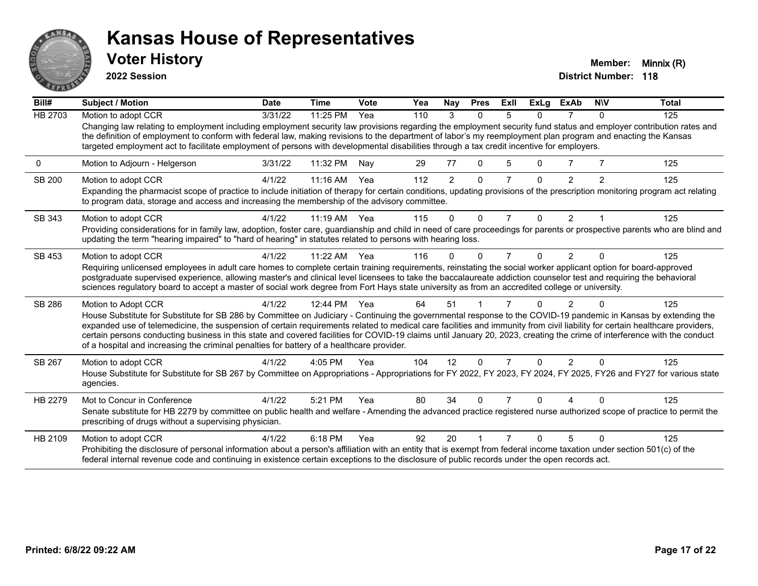

**2022 Session**

| Bill#          | Subject / Motion                                                                                                                                                                                                                                                                                                                                                                                                                                                                                                                                                                                                        | <b>Date</b> | <b>Time</b>  | Vote | Yea | Nay            | <b>Pres</b>  | ExII           | ExLg     | <b>ExAb</b>    | <b>NIV</b>              | <b>Total</b> |
|----------------|-------------------------------------------------------------------------------------------------------------------------------------------------------------------------------------------------------------------------------------------------------------------------------------------------------------------------------------------------------------------------------------------------------------------------------------------------------------------------------------------------------------------------------------------------------------------------------------------------------------------------|-------------|--------------|------|-----|----------------|--------------|----------------|----------|----------------|-------------------------|--------------|
| <b>HB 2703</b> | Motion to adopt CCR                                                                                                                                                                                                                                                                                                                                                                                                                                                                                                                                                                                                     | 3/31/22     | 11:25 PM     | Yea  | 110 | 3              | $\Omega$     | 5              | 0        | 7              | $\Omega$                | 125          |
|                | Changing law relating to employment including employment security law provisions regarding the employment security fund status and employer contribution rates and<br>the definition of employment to conform with federal law, making revisions to the department of labor's my reemployment plan program and enacting the Kansas<br>targeted employment act to facilitate employment of persons with developmental disabilities through a tax credit incentive for employers.                                                                                                                                         |             |              |      |     |                |              |                |          |                |                         |              |
| 0              | Motion to Adjourn - Helgerson                                                                                                                                                                                                                                                                                                                                                                                                                                                                                                                                                                                           | 3/31/22     | 11:32 PM     | Nay  | 29  | 77             | 0            | 5              | 0        | 7              | 7                       | 125          |
| <b>SB 200</b>  | Motion to adopt CCR                                                                                                                                                                                                                                                                                                                                                                                                                                                                                                                                                                                                     | 4/1/22      | 11:16 AM     | Yea  | 112 | $\overline{2}$ | $\Omega$     |                | 0        | $\overline{2}$ | 2                       | 125          |
|                | Expanding the pharmacist scope of practice to include initiation of therapy for certain conditions, updating provisions of the prescription monitoring program act relating<br>to program data, storage and access and increasing the membership of the advisory committee.                                                                                                                                                                                                                                                                                                                                             |             |              |      |     |                |              |                |          |                |                         |              |
| SB 343         | Motion to adopt CCR                                                                                                                                                                                                                                                                                                                                                                                                                                                                                                                                                                                                     | 4/1/22      | 11:19 AM Yea |      | 115 | $\Omega$       | $\mathbf{0}$ | $\overline{7}$ | $\Omega$ | $\overline{2}$ | $\overline{\mathbf{1}}$ | 125          |
|                | Providing considerations for in family law, adoption, foster care, guardianship and child in need of care proceedings for parents or prospective parents who are blind and<br>updating the term "hearing impaired" to "hard of hearing" in statutes related to persons with hearing loss.                                                                                                                                                                                                                                                                                                                               |             |              |      |     |                |              |                |          |                |                         |              |
| SB 453         | Motion to adopt CCR                                                                                                                                                                                                                                                                                                                                                                                                                                                                                                                                                                                                     | 4/1/22      | $11:22$ AM   | Yea  | 116 | 0              | $\Omega$     | 7              | 0        | $\mathfrak{p}$ |                         | 125          |
|                | Requiring unlicensed employees in adult care homes to complete certain training requirements, reinstating the social worker applicant option for board-approved<br>postgraduate supervised experience, allowing master's and clinical level licensees to take the baccalaureate addiction counselor test and requiring the behavioral<br>sciences regulatory board to accept a master of social work degree from Fort Hays state university as from an accredited college or university.                                                                                                                                |             |              |      |     |                |              |                |          |                |                         |              |
| SB 286         | Motion to Adopt CCR                                                                                                                                                                                                                                                                                                                                                                                                                                                                                                                                                                                                     | 4/1/22      | 12:44 PM     | Yea  | 64  | 51             |              |                |          | 2              |                         | 125          |
|                | House Substitute for Substitute for SB 286 by Committee on Judiciary - Continuing the governmental response to the COVID-19 pandemic in Kansas by extending the<br>expanded use of telemedicine, the suspension of certain requirements related to medical care facilities and immunity from civil liability for certain healthcare providers,<br>certain persons conducting business in this state and covered facilities for COVID-19 claims until January 20, 2023, creating the crime of interference with the conduct<br>of a hospital and increasing the criminal penalties for battery of a healthcare provider. |             |              |      |     |                |              |                |          |                |                         |              |
| SB 267         | Motion to adopt CCR                                                                                                                                                                                                                                                                                                                                                                                                                                                                                                                                                                                                     | 4/1/22      | 4:05 PM      | Yea  | 104 | 12             | $\Omega$     | $\overline{7}$ | $\Omega$ | $\overline{2}$ | $\Omega$                | 125          |
|                | House Substitute for Substitute for SB 267 by Committee on Appropriations - Appropriations for FY 2022, FY 2023, FY 2024, FY 2025, FY26 and FY27 for various state<br>agencies.                                                                                                                                                                                                                                                                                                                                                                                                                                         |             |              |      |     |                |              |                |          |                |                         |              |
| HB 2279        | Mot to Concur in Conference                                                                                                                                                                                                                                                                                                                                                                                                                                                                                                                                                                                             | 4/1/22      | 5:21 PM      | Yea  | 80  | 34             | $\Omega$     | 7              | 0        |                |                         | 125          |
|                | Senate substitute for HB 2279 by committee on public health and welfare - Amending the advanced practice registered nurse authorized scope of practice to permit the<br>prescribing of drugs without a supervising physician.                                                                                                                                                                                                                                                                                                                                                                                           |             |              |      |     |                |              |                |          |                |                         |              |
| HB 2109        | Motion to adopt CCR                                                                                                                                                                                                                                                                                                                                                                                                                                                                                                                                                                                                     | 4/1/22      | 6:18 PM      | Yea  | 92  | 20             |              |                | n        | 5              | $\Omega$                | 125          |
|                | Prohibiting the disclosure of personal information about a person's affiliation with an entity that is exempt from federal income taxation under section 501(c) of the<br>federal internal revenue code and continuing in existence certain exceptions to the disclosure of public records under the open records act.                                                                                                                                                                                                                                                                                                  |             |              |      |     |                |              |                |          |                |                         |              |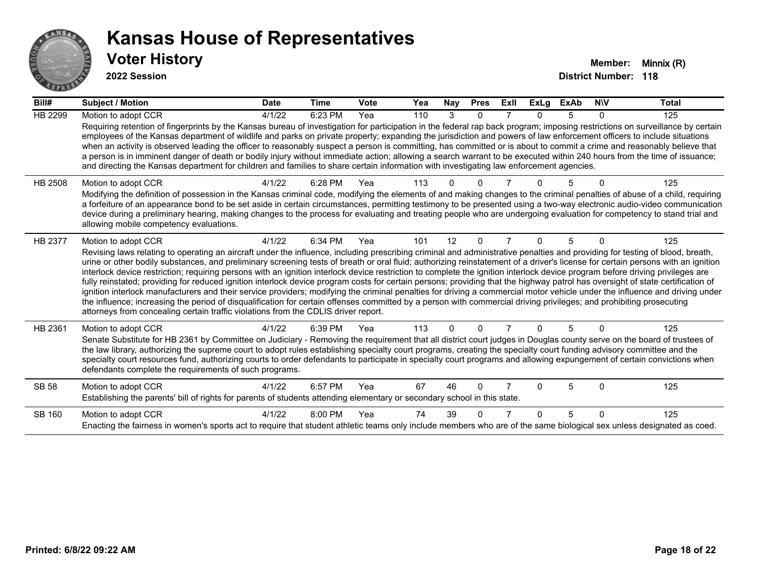

| Bill#          | Subject / Motion                                                                                                                                                                                                                                                                                                                                                                                                                                                                                                                                                                                                                                                                                                                                                                                                                                                                                                                                                                                                                                                                                                                                                                                      | <b>Date</b> | Time      | Vote | Yea | Nay      | <b>Pres</b> | ExII | ExLg | <b>ExAb</b> | <b>NIV</b> | <b>Total</b> |
|----------------|-------------------------------------------------------------------------------------------------------------------------------------------------------------------------------------------------------------------------------------------------------------------------------------------------------------------------------------------------------------------------------------------------------------------------------------------------------------------------------------------------------------------------------------------------------------------------------------------------------------------------------------------------------------------------------------------------------------------------------------------------------------------------------------------------------------------------------------------------------------------------------------------------------------------------------------------------------------------------------------------------------------------------------------------------------------------------------------------------------------------------------------------------------------------------------------------------------|-------------|-----------|------|-----|----------|-------------|------|------|-------------|------------|--------------|
| <b>HB 2299</b> | Motion to adopt CCR<br>Requiring retention of fingerprints by the Kansas bureau of investigation for participation in the federal rap back program; imposing restrictions on surveillance by certain                                                                                                                                                                                                                                                                                                                                                                                                                                                                                                                                                                                                                                                                                                                                                                                                                                                                                                                                                                                                  | 4/1/22      | 6:23 PM   | Yea  | 110 | 3        | $\Omega$    |      | U    | 5           | 0          | 125          |
|                | employees of the Kansas department of wildlife and parks on private property; expanding the jurisdiction and powers of law enforcement officers to include situations<br>when an activity is observed leading the officer to reasonably suspect a person is committing, has committed or is about to commit a crime and reasonably believe that<br>a person is in imminent danger of death or bodily injury without immediate action; allowing a search warrant to be executed within 240 hours from the time of issuance;<br>and directing the Kansas department for children and families to share certain information with investigating law enforcement agencies.                                                                                                                                                                                                                                                                                                                                                                                                                                                                                                                                 |             |           |      |     |          |             |      |      |             |            |              |
| <b>HB 2508</b> | Motion to adopt CCR<br>Modifying the definition of possession in the Kansas criminal code, modifying the elements of and making changes to the criminal penalties of abuse of a child, requiring<br>a forfeiture of an appearance bond to be set aside in certain circumstances, permitting testimony to be presented using a two-way electronic audio-video communication<br>device during a preliminary hearing, making changes to the process for evaluating and treating people who are undergoing evaluation for competency to stand trial and<br>allowing mobile competency evaluations.                                                                                                                                                                                                                                                                                                                                                                                                                                                                                                                                                                                                        | 4/1/22      | 6:28 PM   | Yea  | 113 |          |             |      |      |             |            | 125          |
| HB 2377        | Motion to adopt CCR<br>Revising laws relating to operating an aircraft under the influence, including prescribing criminal and administrative penalties and providing for testing of blood, breath,<br>urine or other bodily substances, and preliminary screening tests of breath or oral fluid; authorizing reinstatement of a driver's license for certain persons with an ignition<br>interlock device restriction; requiring persons with an ignition interlock device restriction to complete the ignition interlock device program before driving privileges are<br>fully reinstated; providing for reduced ignition interlock device program costs for certain persons; providing that the highway patrol has oversight of state certification of<br>ignition interlock manufacturers and their service providers; modifying the criminal penalties for driving a commercial motor vehicle under the influence and driving under<br>the influence; increasing the period of disqualification for certain offenses committed by a person with commercial driving privileges; and prohibiting prosecuting<br>attorneys from concealing certain traffic violations from the CDLIS driver report. | 4/1/22      | 6:34 PM   | Yea  | 101 | 12       | $\Omega$    |      | 0    | 5           | $\Omega$   | 125          |
| HB 2361        | Motion to adopt CCR<br>Senate Substitute for HB 2361 by Committee on Judiciary - Removing the requirement that all district court judges in Douglas county serve on the board of trustees of<br>the law library, authorizing the supreme court to adopt rules establishing specialty court programs, creating the specialty court funding advisory committee and the<br>specialty court resources fund, authorizing courts to order defendants to participate in specialty court programs and allowing expungement of certain convictions when<br>defendants complete the requirements of such programs.                                                                                                                                                                                                                                                                                                                                                                                                                                                                                                                                                                                              | 4/1/22      | 6:39 PM   | Yea  | 113 | $\Omega$ |             |      |      | 5           | ∩          | 125          |
| <b>SB 58</b>   | Motion to adopt CCR<br>Establishing the parents' bill of rights for parents of students attending elementary or secondary school in this state.                                                                                                                                                                                                                                                                                                                                                                                                                                                                                                                                                                                                                                                                                                                                                                                                                                                                                                                                                                                                                                                       | 4/1/22      | $6:57$ PM | Yea  | 67  | 46       | $\Omega$    |      | n    | 5           | $\Omega$   | 125          |
| SB 160         | Motion to adopt CCR<br>Enacting the fairness in women's sports act to require that student athletic teams only include members who are of the same biological sex unless designated as coed.                                                                                                                                                                                                                                                                                                                                                                                                                                                                                                                                                                                                                                                                                                                                                                                                                                                                                                                                                                                                          | 4/1/22      | 8:00 PM   | Yea  | 74  | 39       |             |      | n    | 5           | $\Omega$   | 125          |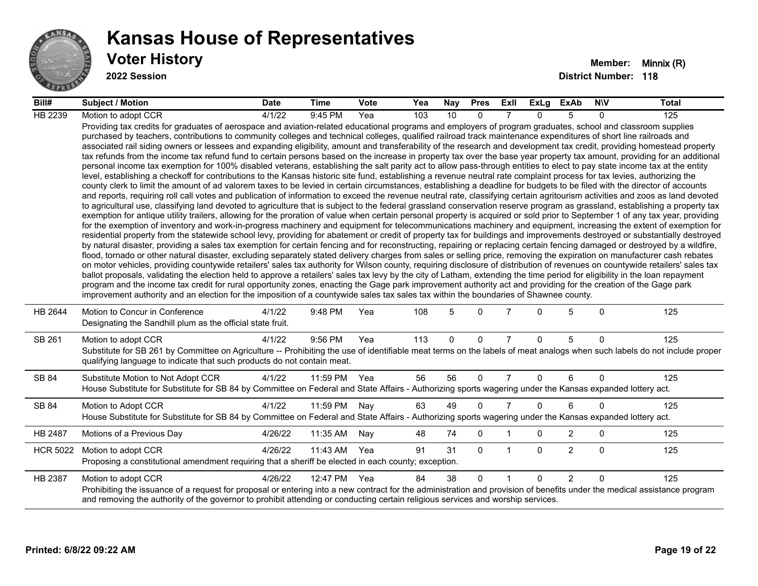

| Bill#           | <b>Subject / Motion</b>                                                                                                                                                                                                                                                                                                                                                                                                                                                                                                                                                                                                                                                                                                                                                                                                                                                                                                                                                                                                                                                                                                                                                                                                                                                                                                                                                                                                                                                                                                                                                                                                                                                                                                                                                                                                                                                                                                                                                                                                                                                                                                                                                                                                                                                                                                                                                                                                                                                                                                                                                                                                                                                                                                                                                                                                                                                                                                                                                                                                                                                                                                                                                     | <b>Date</b> | Time         | <b>Vote</b> | Yea | Nay | <b>Pres</b> | ExII           | ExLg     | ExAb           | <b>NIV</b>   | <b>Total</b> |
|-----------------|-----------------------------------------------------------------------------------------------------------------------------------------------------------------------------------------------------------------------------------------------------------------------------------------------------------------------------------------------------------------------------------------------------------------------------------------------------------------------------------------------------------------------------------------------------------------------------------------------------------------------------------------------------------------------------------------------------------------------------------------------------------------------------------------------------------------------------------------------------------------------------------------------------------------------------------------------------------------------------------------------------------------------------------------------------------------------------------------------------------------------------------------------------------------------------------------------------------------------------------------------------------------------------------------------------------------------------------------------------------------------------------------------------------------------------------------------------------------------------------------------------------------------------------------------------------------------------------------------------------------------------------------------------------------------------------------------------------------------------------------------------------------------------------------------------------------------------------------------------------------------------------------------------------------------------------------------------------------------------------------------------------------------------------------------------------------------------------------------------------------------------------------------------------------------------------------------------------------------------------------------------------------------------------------------------------------------------------------------------------------------------------------------------------------------------------------------------------------------------------------------------------------------------------------------------------------------------------------------------------------------------------------------------------------------------------------------------------------------------------------------------------------------------------------------------------------------------------------------------------------------------------------------------------------------------------------------------------------------------------------------------------------------------------------------------------------------------------------------------------------------------------------------------------------------------|-------------|--------------|-------------|-----|-----|-------------|----------------|----------|----------------|--------------|--------------|
| HB 2239         | Motion to adopt CCR                                                                                                                                                                                                                                                                                                                                                                                                                                                                                                                                                                                                                                                                                                                                                                                                                                                                                                                                                                                                                                                                                                                                                                                                                                                                                                                                                                                                                                                                                                                                                                                                                                                                                                                                                                                                                                                                                                                                                                                                                                                                                                                                                                                                                                                                                                                                                                                                                                                                                                                                                                                                                                                                                                                                                                                                                                                                                                                                                                                                                                                                                                                                                         | 4/1/22      | 9:45 PM      | Yea         | 103 | 10  | $\Omega$    |                | $\Omega$ | 5              | $\Omega$     | 125          |
|                 | Providing tax credits for graduates of aerospace and aviation-related educational programs and employers of program graduates, school and classroom supplies<br>purchased by teachers, contributions to community colleges and technical colleges, qualified railroad track maintenance expenditures of short line railroads and<br>associated rail siding owners or lessees and expanding eligibility, amount and transferability of the research and development tax credit, providing homestead property<br>tax refunds from the income tax refund fund to certain persons based on the increase in property tax over the base year property tax amount, providing for an additional<br>personal income tax exemption for 100% disabled veterans, establishing the salt parity act to allow pass-through entities to elect to pay state income tax at the entity<br>level, establishing a checkoff for contributions to the Kansas historic site fund, establishing a revenue neutral rate complaint process for tax levies, authorizing the<br>county clerk to limit the amount of ad valorem taxes to be levied in certain circumstances, establishing a deadline for budgets to be filed with the director of accounts<br>and reports, requiring roll call votes and publication of information to exceed the revenue neutral rate, classifying certain agritourism activities and zoos as land devoted<br>to agricultural use, classifying land devoted to agriculture that is subject to the federal grassland conservation reserve program as grassland, establishing a property tax<br>exemption for antique utility trailers, allowing for the proration of value when certain personal property is acquired or sold prior to September 1 of any tax year, providing<br>for the exemption of inventory and work-in-progress machinery and equipment for telecommunications machinery and equipment, increasing the extent of exemption for<br>residential property from the statewide school levy, providing for abatement or credit of property tax for buildings and improvements destroyed or substantially destroyed<br>by natural disaster, providing a sales tax exemption for certain fencing and for reconstructing, repairing or replacing certain fencing damaged or destroyed by a wildfire,<br>flood, tornado or other natural disaster, excluding separately stated delivery charges from sales or selling price, removing the expiration on manufacturer cash rebates<br>on motor vehicles, providing countywide retailers' sales tax authority for Wilson county, requiring disclosure of distribution of revenues on countywide retailers' sales tax<br>ballot proposals, validating the election held to approve a retailers' sales tax levy by the city of Latham, extending the time period for eligibility in the loan repayment<br>program and the income tax credit for rural opportunity zones, enacting the Gage park improvement authority act and providing for the creation of the Gage park<br>improvement authority and an election for the imposition of a countywide sales tax sales tax within the boundaries of Shawnee county. |             |              |             |     |     |             |                |          |                |              |              |
| HB 2644         | Motion to Concur in Conference<br>Designating the Sandhill plum as the official state fruit.                                                                                                                                                                                                                                                                                                                                                                                                                                                                                                                                                                                                                                                                                                                                                                                                                                                                                                                                                                                                                                                                                                                                                                                                                                                                                                                                                                                                                                                                                                                                                                                                                                                                                                                                                                                                                                                                                                                                                                                                                                                                                                                                                                                                                                                                                                                                                                                                                                                                                                                                                                                                                                                                                                                                                                                                                                                                                                                                                                                                                                                                                | 4/1/22      | 9:48 PM      | Yea         | 108 | 5   | $\Omega$    |                | $\Omega$ | 5              | $\mathbf{0}$ | 125          |
| SB 261          | Motion to adopt CCR<br>Substitute for SB 261 by Committee on Agriculture -- Prohibiting the use of identifiable meat terms on the labels of meat analogs when such labels do not include proper<br>qualifying language to indicate that such products do not contain meat.                                                                                                                                                                                                                                                                                                                                                                                                                                                                                                                                                                                                                                                                                                                                                                                                                                                                                                                                                                                                                                                                                                                                                                                                                                                                                                                                                                                                                                                                                                                                                                                                                                                                                                                                                                                                                                                                                                                                                                                                                                                                                                                                                                                                                                                                                                                                                                                                                                                                                                                                                                                                                                                                                                                                                                                                                                                                                                  | 4/1/22      | 9:56 PM      | Yea         | 113 | 0   | $\mathbf 0$ | $\overline{7}$ | $\Omega$ | 5              | $\mathbf 0$  | 125          |
| SB 84           | Substitute Motion to Not Adopt CCR<br>House Substitute for Substitute for SB 84 by Committee on Federal and State Affairs - Authorizing sports wagering under the Kansas expanded lottery act.                                                                                                                                                                                                                                                                                                                                                                                                                                                                                                                                                                                                                                                                                                                                                                                                                                                                                                                                                                                                                                                                                                                                                                                                                                                                                                                                                                                                                                                                                                                                                                                                                                                                                                                                                                                                                                                                                                                                                                                                                                                                                                                                                                                                                                                                                                                                                                                                                                                                                                                                                                                                                                                                                                                                                                                                                                                                                                                                                                              | 4/1/22      | 11:59 PM Yea |             | 56  | 56  | $\Omega$    | 7              | 0        | 6              | $\Omega$     | 125          |
| SB 84           | Motion to Adopt CCR<br>House Substitute for Substitute for SB 84 by Committee on Federal and State Affairs - Authorizing sports wagering under the Kansas expanded lottery act.                                                                                                                                                                                                                                                                                                                                                                                                                                                                                                                                                                                                                                                                                                                                                                                                                                                                                                                                                                                                                                                                                                                                                                                                                                                                                                                                                                                                                                                                                                                                                                                                                                                                                                                                                                                                                                                                                                                                                                                                                                                                                                                                                                                                                                                                                                                                                                                                                                                                                                                                                                                                                                                                                                                                                                                                                                                                                                                                                                                             | 4/1/22      | 11:59 PM     | Nay         | 63  | 49  | $\Omega$    | $\overline{7}$ | $\Omega$ | 6              | $\Omega$     | 125          |
| HB 2487         | Motions of a Previous Day                                                                                                                                                                                                                                                                                                                                                                                                                                                                                                                                                                                                                                                                                                                                                                                                                                                                                                                                                                                                                                                                                                                                                                                                                                                                                                                                                                                                                                                                                                                                                                                                                                                                                                                                                                                                                                                                                                                                                                                                                                                                                                                                                                                                                                                                                                                                                                                                                                                                                                                                                                                                                                                                                                                                                                                                                                                                                                                                                                                                                                                                                                                                                   | 4/26/22     | 11:35 AM     | Nay         | 48  | 74  | 0           |                | 0        | $\overline{2}$ | 0            | 125          |
| <b>HCR 5022</b> | Motion to adopt CCR<br>Proposing a constitutional amendment requiring that a sheriff be elected in each county; exception.                                                                                                                                                                                                                                                                                                                                                                                                                                                                                                                                                                                                                                                                                                                                                                                                                                                                                                                                                                                                                                                                                                                                                                                                                                                                                                                                                                                                                                                                                                                                                                                                                                                                                                                                                                                                                                                                                                                                                                                                                                                                                                                                                                                                                                                                                                                                                                                                                                                                                                                                                                                                                                                                                                                                                                                                                                                                                                                                                                                                                                                  | 4/26/22     | 11:43 AM     | Yea         | 91  | 31  | $\Omega$    | $\overline{1}$ | $\Omega$ | $\overline{2}$ | $\mathbf{0}$ | 125          |
| HB 2387         | Motion to adopt CCR<br>Prohibiting the issuance of a request for proposal or entering into a new contract for the administration and provision of benefits under the medical assistance program<br>and removing the authority of the governor to prohibit attending or conducting certain religious services and worship services.                                                                                                                                                                                                                                                                                                                                                                                                                                                                                                                                                                                                                                                                                                                                                                                                                                                                                                                                                                                                                                                                                                                                                                                                                                                                                                                                                                                                                                                                                                                                                                                                                                                                                                                                                                                                                                                                                                                                                                                                                                                                                                                                                                                                                                                                                                                                                                                                                                                                                                                                                                                                                                                                                                                                                                                                                                          | 4/26/22     | 12:47 PM     | Yea         | 84  | 38  | $\Omega$    |                | $\Omega$ | $\overline{2}$ | $\Omega$     | 125          |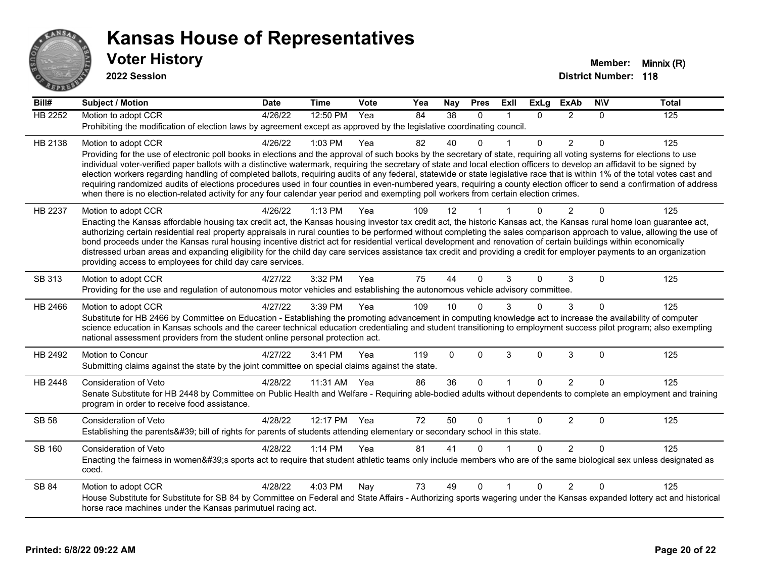

| Bill#          | <b>Subject / Motion</b>                                                                                                                                                                                                                                                                                                                               | <b>Date</b> | <b>Time</b>  | Vote | Yea | Nay             | <b>Pres</b>  | Exll | <b>ExLg</b> | <b>ExAb</b>    | <b>NIV</b> | <b>Total</b> |
|----------------|-------------------------------------------------------------------------------------------------------------------------------------------------------------------------------------------------------------------------------------------------------------------------------------------------------------------------------------------------------|-------------|--------------|------|-----|-----------------|--------------|------|-------------|----------------|------------|--------------|
| <b>HB 2252</b> | Motion to adopt CCR                                                                                                                                                                                                                                                                                                                                   | 4/26/22     | 12:50 PM     | Yea  | 84  | $\overline{38}$ | $\Omega$     |      | $\Omega$    | 2              | $\Omega$   | 125          |
|                | Prohibiting the modification of election laws by agreement except as approved by the legislative coordinating council.                                                                                                                                                                                                                                |             |              |      |     |                 |              |      |             |                |            |              |
| HB 2138        | Motion to adopt CCR                                                                                                                                                                                                                                                                                                                                   | 4/26/22     | 1:03 PM      | Yea  | 82  | 40              | $\Omega$     |      | $\Omega$    | $\overline{2}$ | $\Omega$   | 125          |
|                | Providing for the use of electronic poll books in elections and the approval of such books by the secretary of state, requiring all voting systems for elections to use<br>individual voter-verified paper ballots with a distinctive watermark, requiring the secretary of state and local election officers to develop an affidavit to be signed by |             |              |      |     |                 |              |      |             |                |            |              |
|                | election workers regarding handling of completed ballots, requiring audits of any federal, statewide or state legislative race that is within 1% of the total votes cast and                                                                                                                                                                          |             |              |      |     |                 |              |      |             |                |            |              |
|                | requiring randomized audits of elections procedures used in four counties in even-numbered years, requiring a county election officer to send a confirmation of address                                                                                                                                                                               |             |              |      |     |                 |              |      |             |                |            |              |
|                | when there is no election-related activity for any four calendar year period and exempting poll workers from certain election crimes.                                                                                                                                                                                                                 |             |              |      |     |                 |              |      |             |                |            |              |
| HB 2237        | Motion to adopt CCR                                                                                                                                                                                                                                                                                                                                   | 4/26/22     | 1:13 PM      | Yea  | 109 | 12              |              |      | $\Omega$    | 2              | $\Omega$   | 125          |
|                | Enacting the Kansas affordable housing tax credit act, the Kansas housing investor tax credit act, the historic Kansas act, the Kansas rural home loan guarantee act,<br>authorizing certain residential real property appraisals in rural counties to be performed without completing the sales comparison approach to value, allowing the use of    |             |              |      |     |                 |              |      |             |                |            |              |
|                | bond proceeds under the Kansas rural housing incentive district act for residential vertical development and renovation of certain buildings within economically                                                                                                                                                                                      |             |              |      |     |                 |              |      |             |                |            |              |
|                | distressed urban areas and expanding eligibility for the child day care services assistance tax credit and providing a credit for employer payments to an organization                                                                                                                                                                                |             |              |      |     |                 |              |      |             |                |            |              |
|                | providing access to employees for child day care services.                                                                                                                                                                                                                                                                                            |             |              |      |     |                 |              |      |             |                |            |              |
| SB 313         | Motion to adopt CCR                                                                                                                                                                                                                                                                                                                                   | 4/27/22     | 3:32 PM      | Yea  | 75  | 44              | $\Omega$     | 3    | $\Omega$    | 3              | $\Omega$   | 125          |
|                | Providing for the use and regulation of autonomous motor vehicles and establishing the autonomous vehicle advisory committee.                                                                                                                                                                                                                         |             |              |      |     |                 |              |      |             |                |            |              |
| HB 2466        | Motion to adopt CCR                                                                                                                                                                                                                                                                                                                                   | 4/27/22     | 3:39 PM      | Yea  | 109 | 10              | $\Omega$     |      | $\Omega$    | 3              | 0          | 125          |
|                | Substitute for HB 2466 by Committee on Education - Establishing the promoting advancement in computing knowledge act to increase the availability of computer<br>science education in Kansas schools and the career technical education credentialing and student transitioning to employment success pilot program; also exempting                   |             |              |      |     |                 |              |      |             |                |            |              |
|                | national assessment providers from the student online personal protection act.                                                                                                                                                                                                                                                                        |             |              |      |     |                 |              |      |             |                |            |              |
| HB 2492        | Motion to Concur                                                                                                                                                                                                                                                                                                                                      | 4/27/22     | 3:41 PM      | Yea  | 119 | $\mathbf{0}$    | $\Omega$     | 3    | $\Omega$    | 3              | $\Omega$   | 125          |
|                | Submitting claims against the state by the joint committee on special claims against the state.                                                                                                                                                                                                                                                       |             |              |      |     |                 |              |      |             |                |            |              |
| HB 2448        | Consideration of Veto                                                                                                                                                                                                                                                                                                                                 | 4/28/22     | 11:31 AM Yea |      | 86  | 36              | $\mathbf{0}$ |      | $\Omega$    | $\overline{2}$ | $\Omega$   | 125          |
|                | Senate Substitute for HB 2448 by Committee on Public Health and Welfare - Requiring able-bodied adults without dependents to complete an employment and training                                                                                                                                                                                      |             |              |      |     |                 |              |      |             |                |            |              |
|                | program in order to receive food assistance.                                                                                                                                                                                                                                                                                                          |             |              |      |     |                 |              |      |             |                |            |              |
| <b>SB 58</b>   | Consideration of Veto                                                                                                                                                                                                                                                                                                                                 | 4/28/22     | 12:17 PM Yea |      | 72  | 50              | $\Omega$     |      | $\Omega$    | $\overline{2}$ | $\Omega$   | 125          |
|                | Establishing the parents' bill of rights for parents of students attending elementary or secondary school in this state.                                                                                                                                                                                                                              |             |              |      |     |                 |              |      |             |                |            |              |
| <b>SB 160</b>  | Consideration of Veto                                                                                                                                                                                                                                                                                                                                 | 4/28/22     | 1:14 PM      | Yea  | 81  | 41              | $\Omega$     |      | $\Omega$    | 2              | $\Omega$   | 125          |
|                | Enacting the fairness in women's sports act to require that student athletic teams only include members who are of the same biological sex unless designated as<br>coed.                                                                                                                                                                              |             |              |      |     |                 |              |      |             |                |            |              |
| <b>SB 84</b>   | Motion to adopt CCR                                                                                                                                                                                                                                                                                                                                   | 4/28/22     | 4:03 PM      | Nay  | 73  | 49              | $\mathbf{0}$ |      | $\Omega$    | $\overline{2}$ | 0          | 125          |
|                | House Substitute for Substitute for SB 84 by Committee on Federal and State Affairs - Authorizing sports wagering under the Kansas expanded lottery act and historical<br>horse race machines under the Kansas parimutuel racing act.                                                                                                                 |             |              |      |     |                 |              |      |             |                |            |              |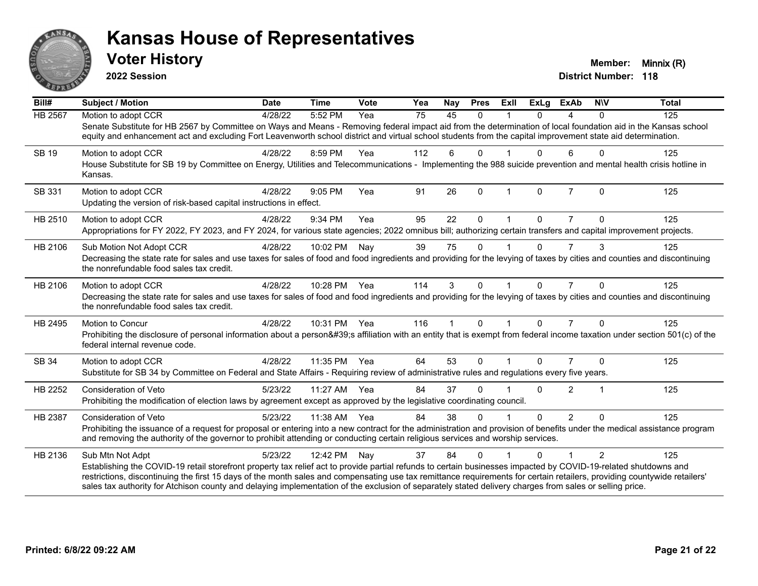

**2022 Session**

| Bill#          | <b>Subject / Motion</b>                                                                                                                                                                                                                                                                                                             | <b>Date</b> | <b>Time</b> | Vote | Yea | Nay | <b>Pres</b>  | Exll                    | <b>ExLg</b> | <b>ExAb</b>    | <b>NIV</b>     | <b>Total</b> |
|----------------|-------------------------------------------------------------------------------------------------------------------------------------------------------------------------------------------------------------------------------------------------------------------------------------------------------------------------------------|-------------|-------------|------|-----|-----|--------------|-------------------------|-------------|----------------|----------------|--------------|
| <b>HB 2567</b> | Motion to adopt CCR                                                                                                                                                                                                                                                                                                                 | 4/28/22     | 5:52 PM     | Yea  | 75  | 45  | $\mathbf{0}$ |                         | $\Omega$    | 4              | $\mathbf{0}$   | 125          |
|                | Senate Substitute for HB 2567 by Committee on Ways and Means - Removing federal impact aid from the determination of local foundation aid in the Kansas school<br>equity and enhancement act and excluding Fort Leavenworth school district and virtual school students from the capital improvement state aid determination.       |             |             |      |     |     |              |                         |             |                |                |              |
| <b>SB 19</b>   | Motion to adopt CCR                                                                                                                                                                                                                                                                                                                 | 4/28/22     | 8:59 PM     | Yea  | 112 | 6   | $\mathbf{0}$ |                         | 0           | 6              | $\Omega$       | 125          |
|                | House Substitute for SB 19 by Committee on Energy, Utilities and Telecommunications - Implementing the 988 suicide prevention and mental health crisis hotline in<br>Kansas.                                                                                                                                                        |             |             |      |     |     |              |                         |             |                |                |              |
| SB 331         | Motion to adopt CCR                                                                                                                                                                                                                                                                                                                 | 4/28/22     | 9:05 PM     | Yea  | 91  | 26  | $\mathbf{0}$ | $\mathbf 1$             | $\Omega$    | $\overline{7}$ | $\Omega$       | 125          |
|                | Updating the version of risk-based capital instructions in effect.                                                                                                                                                                                                                                                                  |             |             |      |     |     |              |                         |             |                |                |              |
| HB 2510        | Motion to adopt CCR                                                                                                                                                                                                                                                                                                                 | 4/28/22     | 9:34 PM     | Yea  | 95  | 22  | $\mathbf{0}$ |                         | 0           |                | 0              | 125          |
|                | Appropriations for FY 2022, FY 2023, and FY 2024, for various state agencies; 2022 omnibus bill; authorizing certain transfers and capital improvement projects.                                                                                                                                                                    |             |             |      |     |     |              |                         |             |                |                |              |
| HB 2106        | Sub Motion Not Adopt CCR                                                                                                                                                                                                                                                                                                            | 4/28/22     | 10:02 PM    | Nay  | 39  | 75  | $\mathbf{0}$ |                         | $\Omega$    | $\overline{7}$ | 3              | 125          |
|                | Decreasing the state rate for sales and use taxes for sales of food and food ingredients and providing for the levying of taxes by cities and counties and discontinuing<br>the nonrefundable food sales tax credit.                                                                                                                |             |             |      |     |     |              |                         |             |                |                |              |
| HB 2106        | Motion to adopt CCR                                                                                                                                                                                                                                                                                                                 | 4/28/22     | 10:28 PM    | Yea  | 114 | 3   | $\Omega$     |                         | 0           | 7              | $\Omega$       | 125          |
|                | Decreasing the state rate for sales and use taxes for sales of food and food ingredients and providing for the levying of taxes by cities and counties and discontinuing<br>the nonrefundable food sales tax credit.                                                                                                                |             |             |      |     |     |              |                         |             |                |                |              |
| HB 2495        | Motion to Concur                                                                                                                                                                                                                                                                                                                    | 4/28/22     | 10:31 PM    | Yea  | 116 | 1   | $\Omega$     | $\mathbf 1$             | $\Omega$    | $\overline{7}$ | $\Omega$       | 125          |
|                | Prohibiting the disclosure of personal information about a person's affiliation with an entity that is exempt from federal income taxation under section 501(c) of the<br>federal internal revenue code.                                                                                                                            |             |             |      |     |     |              |                         |             |                |                |              |
| SB 34          | Motion to adopt CCR                                                                                                                                                                                                                                                                                                                 | 4/28/22     | 11:35 PM    | Yea  | 64  | 53  | $\Omega$     | $\overline{\mathbf{A}}$ | $\Omega$    | 7              | $\Omega$       | 125          |
|                | Substitute for SB 34 by Committee on Federal and State Affairs - Requiring review of administrative rules and regulations every five years.                                                                                                                                                                                         |             |             |      |     |     |              |                         |             |                |                |              |
| HB 2252        | <b>Consideration of Veto</b>                                                                                                                                                                                                                                                                                                        | 5/23/22     | 11:27 AM    | Yea  | 84  | 37  | $\Omega$     |                         | $\Omega$    | $\overline{2}$ | 1              | 125          |
|                | Prohibiting the modification of election laws by agreement except as approved by the legislative coordinating council.                                                                                                                                                                                                              |             |             |      |     |     |              |                         |             |                |                |              |
| HB 2387        | <b>Consideration of Veto</b>                                                                                                                                                                                                                                                                                                        | 5/23/22     | 11:38 AM    | Yea  | 84  | 38  | $\mathbf{0}$ |                         | $\Omega$    | $\overline{2}$ | $\Omega$       | 125          |
|                | Prohibiting the issuance of a request for proposal or entering into a new contract for the administration and provision of benefits under the medical assistance program<br>and removing the authority of the governor to prohibit attending or conducting certain religious services and worship services.                         |             |             |      |     |     |              |                         |             |                |                |              |
| HB 2136        | Sub Mtn Not Adpt                                                                                                                                                                                                                                                                                                                    | 5/23/22     | 12:42 PM    | Nay  | 37  | 84  | $\Omega$     |                         | 0           |                | $\mathfrak{p}$ | 125          |
|                | Establishing the COVID-19 retail storefront property tax relief act to provide partial refunds to certain businesses impacted by COVID-19-related shutdowns and                                                                                                                                                                     |             |             |      |     |     |              |                         |             |                |                |              |
|                | restrictions, discontinuing the first 15 days of the month sales and compensating use tax remittance requirements for certain retailers, providing countywide retailers'<br>sales tax authority for Atchison county and delaying implementation of the exclusion of separately stated delivery charges from sales or selling price. |             |             |      |     |     |              |                         |             |                |                |              |